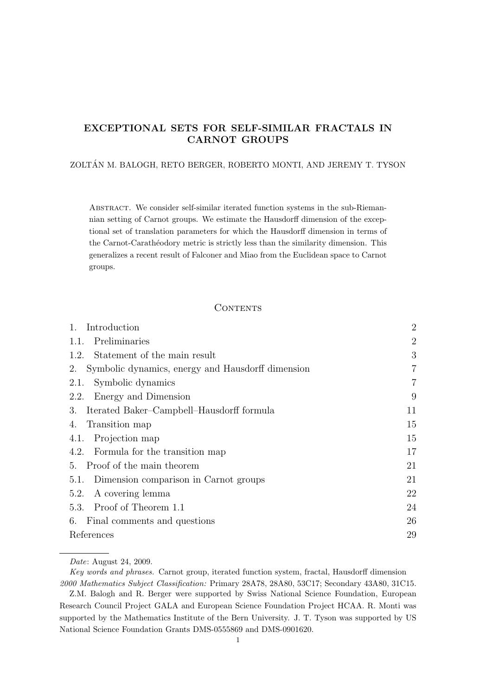# EXCEPTIONAL SETS FOR SELF-SIMILAR FRACTALS IN CARNOT GROUPS

# ZOLTAN M. BALOGH, RETO BERGER, ROBERTO MONTI, AND JEREMY T. TYSON ´

Abstract. We consider self-similar iterated function systems in the sub-Riemannian setting of Carnot groups. We estimate the Hausdorff dimension of the exceptional set of translation parameters for which the Hausdorff dimension in terms of the Carnot-Carathéodory metric is strictly less than the similarity dimension. This generalizes a recent result of Falconer and Miao from the Euclidean space to Carnot groups.

# **CONTENTS**

| 1.<br>Introduction                                      | $\overline{2}$ |
|---------------------------------------------------------|----------------|
| Preliminaries<br>1.1.                                   | $\overline{2}$ |
| 1.2. Statement of the main result                       | 3              |
| Symbolic dynamics, energy and Hausdorff dimension<br>2. | 7              |
| Symbolic dynamics<br>2.1.                               | $\overline{7}$ |
| Energy and Dimension<br>2.2.                            | 9              |
| Iterated Baker–Campbell–Hausdorff formula<br>3.         | 11             |
| Transition map<br>4.                                    | 15             |
| Projection map<br>4.1.                                  | 15             |
| 4.2. Formula for the transition map                     | 17             |
| 5. Proof of the main theorem                            | 21             |
| 5.1. Dimension comparison in Carnot groups              | 21             |
| A covering lemma<br>5.2.                                | 22             |
| 5.3. Proof of Theorem 1.1                               | 24             |
| 6. Final comments and questions                         | 26             |
| References                                              | 29             |

Date: August 24, 2009.

Key words and phrases. Carnot group, iterated function system, fractal, Hausdorff dimension 2000 Mathematics Subject Classification: Primary 28A78, 28A80, 53C17; Secondary 43A80, 31C15.

Z.M. Balogh and R. Berger were supported by Swiss National Science Foundation, European Research Council Project GALA and European Science Foundation Project HCAA. R. Monti was supported by the Mathematics Institute of the Bern University. J. T. Tyson was supported by US National Science Foundation Grants DMS-0555869 and DMS-0901620.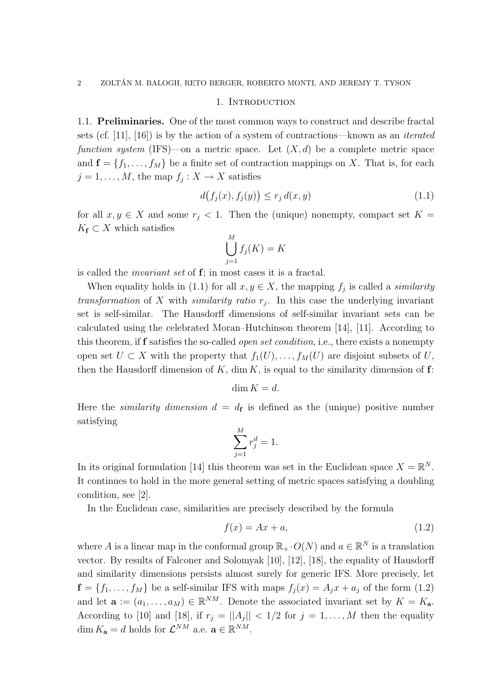### 1. INTRODUCTION

1.1. Preliminaries. One of the most common ways to construct and describe fractal sets (cf. [11], [16]) is by the action of a system of contractions—known as an iterated function system (IFS)—on a metric space. Let  $(X, d)$  be a complete metric space and  $f = \{f_1, \ldots, f_M\}$  be a finite set of contraction mappings on X. That is, for each  $j = 1, \ldots, M$ , the map  $f_j: X \to X$  satisfies

$$
d(f_j(x), f_j(y)) \le r_j d(x, y) \tag{1.1}
$$

for all  $x, y \in X$  and some  $r_i < 1$ . Then the (unique) nonempty, compact set  $K =$  $K_{\mathbf{f}} \subset X$  which satisfies

$$
\bigcup_{j=1}^{M} f_j(K) = K
$$

is called the invariant set of f; in most cases it is a fractal.

When equality holds in (1.1) for all  $x, y \in X$ , the mapping  $f_j$  is called a *similarity* transformation of X with similarity ratio  $r_j$ . In this case the underlying invariant set is self-similar. The Hausdorff dimensions of self-similar invariant sets can be calculated using the celebrated Moran–Hutchinson theorem [14], [11]. According to this theorem, if f satisfies the so-called *open set condition*, i.e., there exists a nonempty open set  $U \subset X$  with the property that  $f_1(U), \ldots, f_M(U)$  are disjoint subsets of U, then the Hausdorff dimension of K, dim K, is equal to the similarity dimension of  $f$ :

 $\dim K = d$ .

Here the *similarity dimension*  $d = d_f$  is defined as the (unique) positive number satisfying

$$
\sum_{j=1}^{M} r_j^d = 1.
$$

In its original formulation [14] this theorem was set in the Euclidean space  $X = \mathbb{R}^N$ . It continues to hold in the more general setting of metric spaces satisfying a doubling condition, see [2].

In the Euclidean case, similarities are precisely described by the formula

$$
f(x) = Ax + a,\tag{1.2}
$$

where A is a linear map in the conformal group  $\mathbb{R}_+ \cdot O(N)$  and  $a \in \mathbb{R}^N$  is a translation vector. By results of Falconer and Solomyak [10], [12], [18], the equality of Hausdorff and similarity dimensions persists almost surely for generic IFS. More precisely, let  $f = \{f_1, \ldots, f_M\}$  be a self-similar IFS with maps  $f_j(x) = A_j x + a_j$  of the form (1.2) and let  $\mathbf{a} := (a_1, \ldots, a_M) \in \mathbb{R}^{NM}$ . Denote the associated invariant set by  $K = K_{\mathbf{a}}$ . According to [10] and [18], if  $r_j = ||A_j|| < 1/2$  for  $j = 1, ..., M$  then the equality dim  $K_{\mathbf{a}} = d$  holds for  $\mathcal{L}^{NM}$  a.e.  $\mathbf{a} \in \mathbb{R}^{NM}$ .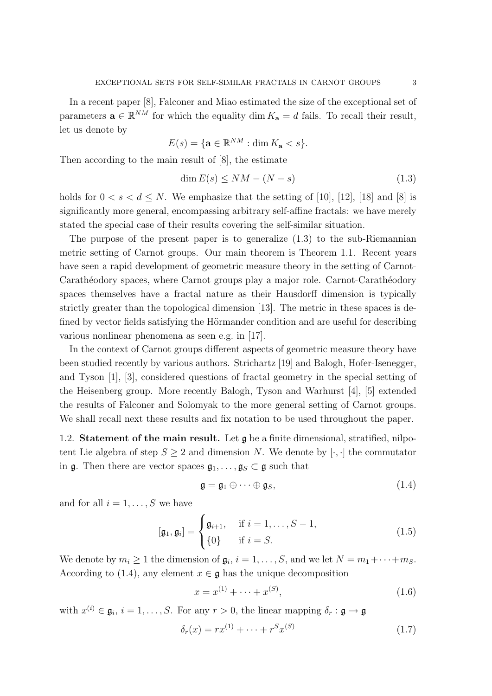In a recent paper [8], Falconer and Miao estimated the size of the exceptional set of parameters  $\mathbf{a} \in \mathbb{R}^{NM}$  for which the equality dim  $K_{\mathbf{a}} = d$  fails. To recall their result, let us denote by

$$
E(s) = \{ \mathbf{a} \in \mathbb{R}^{NM} : \dim K_{\mathbf{a}} < s \}.
$$

Then according to the main result of [8], the estimate

$$
\dim E(s) \le NM - (N - s) \tag{1.3}
$$

holds for  $0 < s < d \le N$ . We emphasize that the setting of [10], [12], [18] and [8] is significantly more general, encompassing arbitrary self-affine fractals: we have merely stated the special case of their results covering the self-similar situation.

The purpose of the present paper is to generalize (1.3) to the sub-Riemannian metric setting of Carnot groups. Our main theorem is Theorem 1.1. Recent years have seen a rapid development of geometric measure theory in the setting of Carnot-Carathéodory spaces, where Carnot groups play a major role. Carnot-Carathéodory spaces themselves have a fractal nature as their Hausdorff dimension is typically strictly greater than the topological dimension [13]. The metric in these spaces is defined by vector fields satisfying the Hörmander condition and are useful for describing various nonlinear phenomena as seen e.g. in [17].

In the context of Carnot groups different aspects of geometric measure theory have been studied recently by various authors. Strichartz [19] and Balogh, Hofer-Isenegger, and Tyson [1], [3], considered questions of fractal geometry in the special setting of the Heisenberg group. More recently Balogh, Tyson and Warhurst [4], [5] extended the results of Falconer and Solomyak to the more general setting of Carnot groups. We shall recall next these results and fix notation to be used throughout the paper.

1.2. Statement of the main result. Let g be a finite dimensional, stratified, nilpotent Lie algebra of step  $S \geq 2$  and dimension N. We denote by  $[\cdot, \cdot]$  the commutator in  $\mathfrak{g}$ . Then there are vector spaces  $\mathfrak{g}_1, \ldots, \mathfrak{g}_S \subset \mathfrak{g}$  such that

$$
\mathfrak{g} = \mathfrak{g}_1 \oplus \cdots \oplus \mathfrak{g}_S, \tag{1.4}
$$

and for all  $i = 1, \ldots, S$  we have

$$
[\mathfrak{g}_1, \mathfrak{g}_i] = \begin{cases} \mathfrak{g}_{i+1}, & \text{if } i = 1, \dots, S-1, \\ \{0\} & \text{if } i = S. \end{cases} \tag{1.5}
$$

We denote by  $m_i \geq 1$  the dimension of  $\mathfrak{g}_i$ ,  $i = 1, \ldots, S$ , and we let  $N = m_1 + \cdots + m_S$ . According to (1.4), any element  $x \in \mathfrak{g}$  has the unique decomposition

$$
x = x^{(1)} + \dots + x^{(S)}, \tag{1.6}
$$

with  $x^{(i)} \in \mathfrak{g}_i$ ,  $i = 1, \ldots, S$ . For any  $r > 0$ , the linear mapping  $\delta_r : \mathfrak{g} \to \mathfrak{g}$ 

$$
\delta_r(x) = rx^{(1)} + \dots + r^S x^{(S)} \tag{1.7}
$$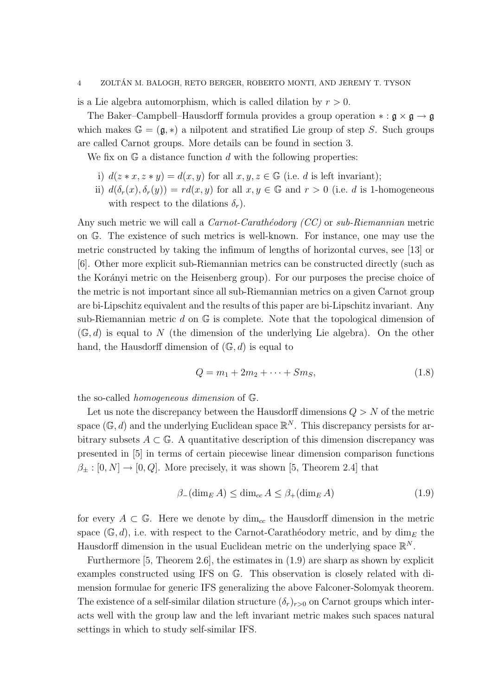is a Lie algebra automorphism, which is called dilation by  $r > 0$ .

The Baker–Campbell–Hausdorff formula provides a group operation  $\ast : \mathfrak{g} \times \mathfrak{g} \to \mathfrak{g}$ which makes  $\mathbb{G} = (\mathfrak{g}, *)$  a nilpotent and stratified Lie group of step S. Such groups are called Carnot groups. More details can be found in section 3.

We fix on  $\mathbb{G}$  a distance function d with the following properties:

- i)  $d(z * x, z * y) = d(x, y)$  for all  $x, y, z \in \mathbb{G}$  (i.e. d is left invariant);
- ii)  $d(\delta_r(x), \delta_r(y)) = rd(x, y)$  for all  $x, y \in \mathbb{G}$  and  $r > 0$  (i.e. d is 1-homogeneous with respect to the dilations  $\delta_r$ ).

Any such metric we will call a *Carnot-Carath*éodory (CC) or sub-Riemannian metric on G. The existence of such metrics is well-known. For instance, one may use the metric constructed by taking the infimum of lengths of horizontal curves, see [13] or [6]. Other more explicit sub-Riemannian metrics can be constructed directly (such as the Korányi metric on the Heisenberg group). For our purposes the precise choice of the metric is not important since all sub-Riemannian metrics on a given Carnot group are bi-Lipschitz equivalent and the results of this paper are bi-Lipschitz invariant. Any sub-Riemannian metric d on  $\mathbb G$  is complete. Note that the topological dimension of  $(\mathbb{G}, d)$  is equal to N (the dimension of the underlying Lie algebra). On the other hand, the Hausdorff dimension of  $(\mathbb{G}, d)$  is equal to

$$
Q = m_1 + 2m_2 + \dots + Sm_S, \tag{1.8}
$$

the so-called homogeneous dimension of G.

Let us note the discrepancy between the Hausdorff dimensions  $Q > N$  of the metric space ( $\mathbb{G}, d$ ) and the underlying Euclidean space  $\mathbb{R}^N$ . This discrepancy persists for arbitrary subsets  $A \subset \mathbb{G}$ . A quantitative description of this dimension discrepancy was presented in [5] in terms of certain piecewise linear dimension comparison functions  $\beta_{\pm} : [0, N] \rightarrow [0, Q]$ . More precisely, it was shown [5, Theorem 2.4] that

$$
\beta_{-}(\dim_{E} A) \le \dim_{cc} A \le \beta_{+}(\dim_{E} A)
$$
\n(1.9)

for every  $A \subset \mathbb{G}$ . Here we denote by  $\dim_{cc}$  the Hausdorff dimension in the metric space  $(\mathbb{G}, d)$ , i.e. with respect to the Carnot-Carathéodory metric, and by dim<sub>E</sub> the Hausdorff dimension in the usual Euclidean metric on the underlying space  $\mathbb{R}^N$ .

Furthermore  $[5,$  Theorem 2.6, the estimates in  $(1.9)$  are sharp as shown by explicit examples constructed using IFS on G. This observation is closely related with dimension formulae for generic IFS generalizing the above Falconer-Solomyak theorem. The existence of a self-similar dilation structure  $(\delta_r)_{r>0}$  on Carnot groups which interacts well with the group law and the left invariant metric makes such spaces natural settings in which to study self-similar IFS.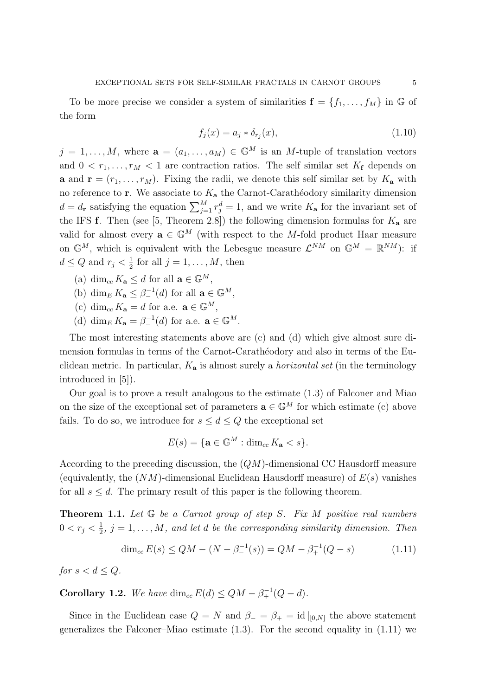To be more precise we consider a system of similarities  $f = \{f_1, \ldots, f_M\}$  in G of the form

$$
f_j(x) = a_j * \delta_{r_j}(x),\tag{1.10}
$$

 $j = 1, \ldots, M$ , where  $\mathbf{a} = (a_1, \ldots, a_M) \in \mathbb{G}^M$  is an M-tuple of translation vectors and  $0 < r_1, \ldots, r_M < 1$  are contraction ratios. The self similar set  $K_f$  depends on **a** and  $\mathbf{r} = (r_1, \ldots, r_M)$ . Fixing the radii, we denote this self similar set by  $K_a$  with no reference to  $\mathbf r$ . We associate to  $K_a$  the Carnot-Carathéodory similarity dimension  $d = d_r$  satisfying the equation  $\sum_{j=1}^{M} r_j^d = 1$ , and we write  $K_a$  for the invariant set of the IFS f. Then (see [5, Theorem 2.8]) the following dimension formulas for  $K_a$  are valid for almost every  $\mathbf{a} \in \mathbb{G}^M$  (with respect to the M-fold product Haar measure on  $\mathbb{G}^M$ , which is equivalent with the Lebesgue measure  $\mathcal{L}^{NM}$  on  $\mathbb{G}^M = \mathbb{R}^{NM}$ ): if  $d \leq Q$  and  $r_j < \frac{1}{2}$  $\frac{1}{2}$  for all  $j = 1, \ldots, M$ , then

- (a) dim<sub>cc</sub>  $K_{\mathbf{a}} \leq d$  for all  $\mathbf{a} \in \mathbb{G}^{M}$ ,
- (b)  $\dim_E K_{\mathbf{a}} \leq \beta^{-1}(\mathbf{d})$  for all  $\mathbf{a} \in \mathbb{G}^M$ ,
- (c) dim<sub>cc</sub>  $K_{\mathbf{a}} = d$  for a.e.  $\mathbf{a} \in \mathbb{G}^{M}$ ,
- (d) dim<sub>E</sub>  $K_{\mathbf{a}} = \beta^{-1}(d)$  for a.e.  $\mathbf{a} \in \mathbb{G}^M$ .

The most interesting statements above are (c) and (d) which give almost sure dimension formulas in terms of the Carnot-Carathéodory and also in terms of the Euclidean metric. In particular,  $K_a$  is almost surely a *horizontal set* (in the terminology introduced in [5]).

Our goal is to prove a result analogous to the estimate (1.3) of Falconer and Miao on the size of the exceptional set of parameters  $\mathbf{a} \in \mathbb{G}^M$  for which estimate (c) above fails. To do so, we introduce for  $s \leq d \leq Q$  the exceptional set

$$
E(s) = \{ \mathbf{a} \in \mathbb{G}^M : \dim_{cc} K_{\mathbf{a}} < s \}.
$$

According to the preceding discussion, the (QM)-dimensional CC Hausdorff measure (equivalently, the  $(NM)$ -dimensional Euclidean Hausdorff measure) of  $E(s)$  vanishes for all  $s \leq d$ . The primary result of this paper is the following theorem.

**Theorem 1.1.** Let  $G$  be a Carnot group of step S. Fix M positive real numbers  $0 < r_j < \frac{1}{2}$  $\frac{1}{2}$ ,  $j = 1, \ldots, M$ , and let d be the corresponding similarity dimension. Then

$$
\dim_{cc} E(s) \le QM - (N - \beta_{-}^{-1}(s)) = QM - \beta_{+}^{-1}(Q - s)
$$
\n(1.11)

for  $s < d \leq Q$ .

**Corollary 1.2.** We have dim<sub>cc</sub>  $E(d) \leq QM - \beta_+^{-1}(Q - d)$ .

Since in the Euclidean case  $Q = N$  and  $\beta_- = \beta_+ = id|_{[0,N]}$  the above statement generalizes the Falconer–Miao estimate  $(1.3)$ . For the second equality in  $(1.11)$  we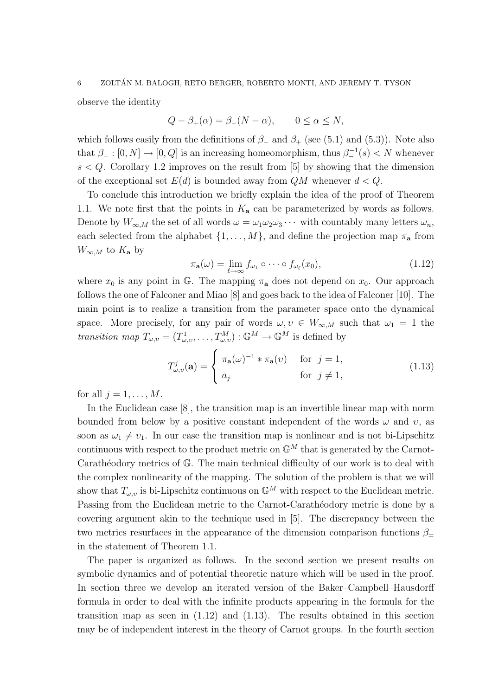observe the identity

$$
Q - \beta_+(\alpha) = \beta_-(N - \alpha), \qquad 0 \le \alpha \le N,
$$

which follows easily from the definitions of  $\beta$  and  $\beta$ + (see (5.1) and (5.3)). Note also that  $\beta_- : [0, N] \to [0, Q]$  is an increasing homeomorphism, thus  $\beta_-^{-1}(s) < N$  whenever  $s < Q$ . Corollary 1.2 improves on the result from [5] by showing that the dimension of the exceptional set  $E(d)$  is bounded away from  $QM$  whenever  $d < Q$ .

To conclude this introduction we briefly explain the idea of the proof of Theorem 1.1. We note first that the points in  $K_a$  can be parameterized by words as follows. Denote by  $W_{\infty,M}$  the set of all words  $\omega = \omega_1 \omega_2 \omega_3 \cdots$  with countably many letters  $\omega_n$ , each selected from the alphabet  $\{1, \ldots, M\}$ , and define the projection map  $\pi_{\mathbf{a}}$  from  $W_{\infty,M}$  to  $K_{\mathbf{a}}$  by

$$
\pi_{\mathbf{a}}(\omega) = \lim_{\ell \to \infty} f_{\omega_1} \circ \cdots \circ f_{\omega_\ell}(x_0), \tag{1.12}
$$

where  $x_0$  is any point in G. The mapping  $\pi_a$  does not depend on  $x_0$ . Our approach follows the one of Falconer and Miao [8] and goes back to the idea of Falconer [10]. The main point is to realize a transition from the parameter space onto the dynamical space. More precisely, for any pair of words  $\omega, v \in W_{\infty,M}$  such that  $\omega_1 = 1$  the transition map  $T_{\omega,v} = (T^1_{\omega,v}, \ldots, T^M_{\omega,v}): \mathbb{G}^M \to \mathbb{G}^M$  is defined by

$$
T_{\omega,\upsilon}^{j}(\mathbf{a}) = \begin{cases} \pi_{\mathbf{a}}(\omega)^{-1} * \pi_{\mathbf{a}}(\upsilon) & \text{for } j = 1, \\ a_{j} & \text{for } j \neq 1, \end{cases}
$$
(1.13)

for all  $j = 1, \ldots, M$ .

In the Euclidean case [8], the transition map is an invertible linear map with norm bounded from below by a positive constant independent of the words  $\omega$  and  $\nu$ , as soon as  $\omega_1 \neq \nu_1$ . In our case the transition map is nonlinear and is not bi-Lipschitz continuous with respect to the product metric on  $\mathbb{G}^M$  that is generated by the Carnot-Carathéodory metrics of  $\mathbb{G}$ . The main technical difficulty of our work is to deal with the complex nonlinearity of the mapping. The solution of the problem is that we will show that  $T_{\omega,v}$  is bi-Lipschitz continuous on  $\mathbb{G}^M$  with respect to the Euclidean metric. Passing from the Euclidean metric to the Carnot-Carathéodory metric is done by a covering argument akin to the technique used in [5]. The discrepancy between the two metrics resurfaces in the appearance of the dimension comparison functions  $\beta_{\pm}$ in the statement of Theorem 1.1.

The paper is organized as follows. In the second section we present results on symbolic dynamics and of potential theoretic nature which will be used in the proof. In section three we develop an iterated version of the Baker–Campbell–Hausdorff formula in order to deal with the infinite products appearing in the formula for the transition map as seen in (1.12) and (1.13). The results obtained in this section may be of independent interest in the theory of Carnot groups. In the fourth section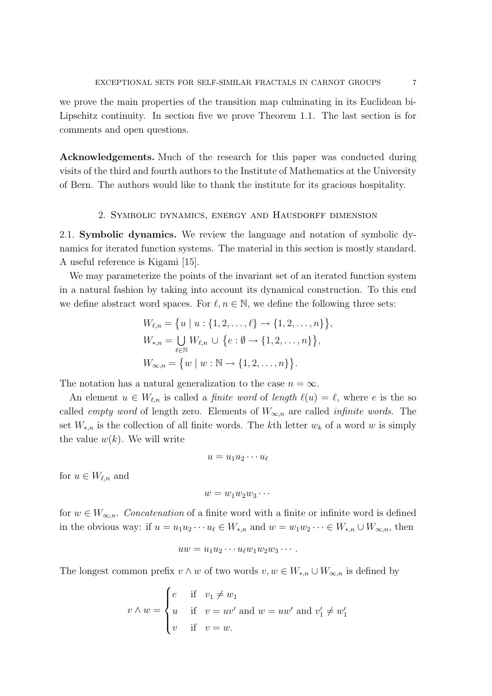we prove the main properties of the transition map culminating in its Euclidean bi-Lipschitz continuity. In section five we prove Theorem 1.1. The last section is for comments and open questions.

Acknowledgements. Much of the research for this paper was conducted during visits of the third and fourth authors to the Institute of Mathematics at the University of Bern. The authors would like to thank the institute for its gracious hospitality.

### 2. Symbolic dynamics, energy and Hausdorff dimension

2.1. Symbolic dynamics. We review the language and notation of symbolic dynamics for iterated function systems. The material in this section is mostly standard. A useful reference is Kigami [15].

We may parameterize the points of the invariant set of an iterated function system in a natural fashion by taking into account its dynamical construction. To this end we define abstract word spaces. For  $\ell, n \in \mathbb{N}$ , we define the following three sets:

$$
W_{\ell,n} = \{u \mid u : \{1, 2, \dots, \ell\} \to \{1, 2, \dots, n\}\},
$$
  
\n
$$
W_{*,n} = \bigcup_{\ell \in \mathbb{N}} W_{\ell,n} \cup \{e : \emptyset \to \{1, 2, \dots, n\}\},
$$
  
\n
$$
W_{\infty,n} = \{w \mid w : \mathbb{N} \to \{1, 2, \dots, n\}\}.
$$

The notation has a natural generalization to the case  $n = \infty$ .

An element  $u \in W_{\ell,n}$  is called a *finite word* of *length*  $\ell(u) = \ell$ , where e is the so called *empty word* of length zero. Elements of  $W_{\infty,n}$  are called *infinite words*. The set  $W_{*,n}$  is the collection of all finite words. The kth letter  $w_k$  of a word w is simply the value  $w(k)$ . We will write

$$
u=u_1u_2\cdots u_\ell
$$

for  $u \in W_{\ell,n}$  and

$$
w=w_1w_2w_3\cdots
$$

for  $w \in W_{\infty,n}$ . Concatenation of a finite word with a finite or infinite word is defined in the obvious way: if  $u = u_1u_2 \cdots u_\ell \in W_{*,n}$  and  $w = w_1w_2 \cdots \in W_{*,n} \cup W_{\infty,n}$ , then

$$
uw = u_1u_2\cdots u_{\ell}w_1w_2w_3\cdots.
$$

The longest common prefix  $v \wedge w$  of two words  $v, w \in W_{*,n} \cup W_{\infty,n}$  is defined by

$$
v \wedge w = \begin{cases} e & \text{if } v_1 \neq w_1 \\ u & \text{if } v = uv' \text{ and } w = uw' \text{ and } v'_1 \neq w'_1 \\ v & \text{if } v = w. \end{cases}
$$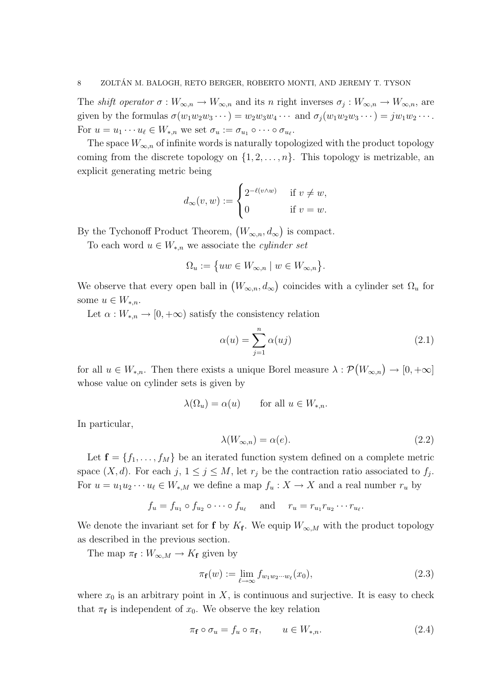The *shift operator*  $\sigma: W_{\infty,n} \to W_{\infty,n}$  and its n right inverses  $\sigma_j: W_{\infty,n} \to W_{\infty,n}$ , are given by the formulas  $\sigma(w_1w_2w_3\cdots) = w_2w_3w_4\cdots$  and  $\sigma_j(w_1w_2w_3\cdots) = jw_1w_2\cdots$ . For  $u = u_1 \cdots u_\ell \in W_{*,n}$  we set  $\sigma_u := \sigma_{u_1} \circ \cdots \circ \sigma_{u_\ell}$ .

The space  $W_{\infty,n}$  of infinite words is naturally topologized with the product topology coming from the discrete topology on  $\{1, 2, \ldots, n\}$ . This topology is metrizable, an explicit generating metric being

$$
d_{\infty}(v, w) := \begin{cases} 2^{-\ell(v \wedge w)} & \text{if } v \neq w, \\ 0 & \text{if } v = w. \end{cases}
$$

By the Tychonoff Product Theorem,  $(W_{\infty,n}, d_{\infty})$  is compact.

To each word  $u \in W_{*,n}$  we associate the *cylinder set* 

$$
\Omega_u := \{ uw \in W_{\infty,n} \mid w \in W_{\infty,n} \}.
$$

We observe that every open ball in  $(W_{\infty,n}, d_{\infty})$  coincides with a cylinder set  $\Omega_u$  for some  $u \in W_{*,n}$ .

Let  $\alpha: W_{n} \to [0, +\infty)$  satisfy the consistency relation

$$
\alpha(u) = \sum_{j=1}^{n} \alpha(uj)
$$
\n(2.1)

for all  $u \in W_{*,n}$ . Then there exists a unique Borel measure  $\lambda : \mathcal{P}(W_{\infty,n}) \to [0,+\infty]$ whose value on cylinder sets is given by

$$
\lambda(\Omega_u) = \alpha(u) \qquad \text{for all } u \in W_{*,n}.
$$

In particular,

$$
\lambda(W_{\infty,n}) = \alpha(e). \tag{2.2}
$$

Let  $f = \{f_1, \ldots, f_M\}$  be an iterated function system defined on a complete metric space  $(X, d)$ . For each  $j, 1 \leq j \leq M$ , let  $r_j$  be the contraction ratio associated to  $f_j$ . For  $u = u_1 u_2 \cdots u_\ell \in W_{*,M}$  we define a map  $f_u : X \to X$  and a real number  $r_u$  by

$$
f_u = f_{u_1} \circ f_{u_2} \circ \cdots \circ f_{u_\ell} \quad \text{and} \quad r_u = r_{u_1} r_{u_2} \cdots r_{u_\ell}.
$$

We denote the invariant set for **f** by  $K_f$ . We equip  $W_{\infty,M}$  with the product topology as described in the previous section.

The map  $\pi_{\mathbf{f}} : W_{\infty,M} \to K_{\mathbf{f}}$  given by

$$
\pi_{\mathbf{f}}(w) := \lim_{\ell \to \infty} f_{w_1 w_2 \cdots w_\ell}(x_0),\tag{2.3}
$$

where  $x_0$  is an arbitrary point in X, is continuous and surjective. It is easy to check that  $\pi_f$  is independent of  $x_0$ . We observe the key relation

$$
\pi_{\mathbf{f}} \circ \sigma_u = f_u \circ \pi_{\mathbf{f}}, \qquad u \in W_{*,n}.\tag{2.4}
$$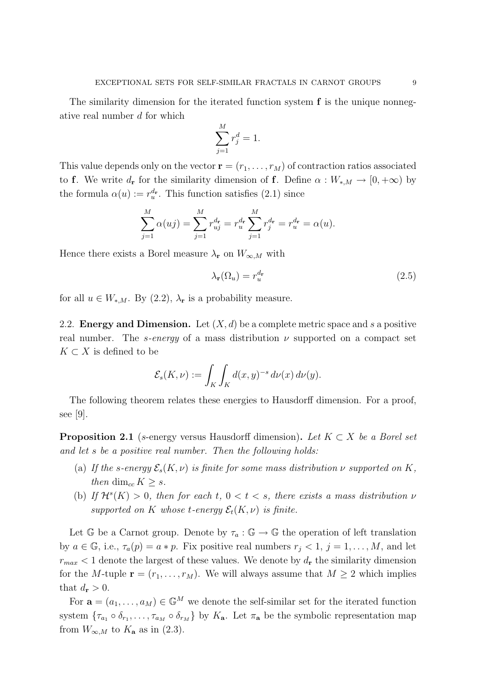The similarity dimension for the iterated function system  $f$  is the unique nonnegative real number d for which

$$
\sum_{j=1}^{M} r_j^d = 1.
$$

This value depends only on the vector  $\mathbf{r} = (r_1, \ldots, r_M)$  of contraction ratios associated to f. We write  $d_{\mathbf{r}}$  for the similarity dimension of f. Define  $\alpha : W_{*,M} \to [0, +\infty)$  by the formula  $\alpha(u) := r_u^{d_r}$ . This function satisfies (2.1) since

$$
\sum_{j=1}^{M} \alpha(uj) = \sum_{j=1}^{M} r_{uj}^{d_{\mathbf{r}}} = r_u^{d_{\mathbf{r}}} \sum_{j=1}^{M} r_j^{d_{\mathbf{r}}} = r_u^{d_{\mathbf{r}}} = \alpha(u).
$$

Hence there exists a Borel measure  $\lambda_{\mathbf{r}}$  on  $W_{\infty,M}$  with

$$
\lambda_{\mathbf{r}}(\Omega_u) = r_u^{d_{\mathbf{r}}} \tag{2.5}
$$

for all  $u \in W_{*,M}$ . By (2.2),  $\lambda_r$  is a probability measure.

2.2. **Energy and Dimension.** Let  $(X, d)$  be a complete metric space and s a positive real number. The s-energy of a mass distribution  $\nu$  supported on a compact set  $K \subset X$  is defined to be

$$
\mathcal{E}_s(K,\nu) := \int_K \int_K d(x,y)^{-s} d\nu(x) d\nu(y).
$$

The following theorem relates these energies to Hausdorff dimension. For a proof, see [9].

**Proposition 2.1** (s-energy versus Hausdorff dimension). Let  $K \subset X$  be a Borel set and let s be a positive real number. Then the following holds:

- (a) If the s-energy  $\mathcal{E}_s(K,\nu)$  is finite for some mass distribution  $\nu$  supported on K, then dim<sub>cc</sub>  $K \geq s$ .
- (b) If  $\mathcal{H}^s(K) > 0$ , then for each t,  $0 < t < s$ , there exists a mass distribution  $\nu$ supported on K whose t-energy  $\mathcal{E}_t(K,\nu)$  is finite.

Let G be a Carnot group. Denote by  $\tau_a : \mathbb{G} \to \mathbb{G}$  the operation of left translation by  $a \in \mathbb{G}$ , i.e.,  $\tau_a(p) = a * p$ . Fix positive real numbers  $r_j < 1$ ,  $j = 1, ..., M$ , and let  $r_{max}$  < 1 denote the largest of these values. We denote by  $d_{\bf r}$  the similarity dimension for the M-tuple  $\mathbf{r} = (r_1, \ldots, r_M)$ . We will always assume that  $M \geq 2$  which implies that  $d_{\mathbf{r}} > 0$ .

For  $\mathbf{a} = (a_1, \ldots, a_M) \in \mathbb{G}^M$  we denote the self-similar set for the iterated function system  $\{\tau_{a_1} \circ \delta_{r_1}, \ldots, \tau_{a_M} \circ \delta_{r_M}\}\$ by  $K_{\mathbf{a}}$ . Let  $\pi_{\mathbf{a}}$  be the symbolic representation map from  $W_{\infty,M}$  to  $K_{\mathbf{a}}$  as in (2.3).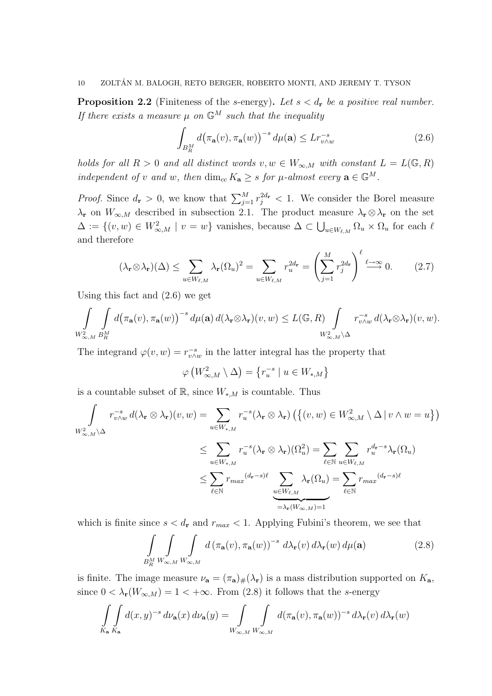**Proposition 2.2** (Finiteness of the s-energy). Let  $s < d_r$  be a positive real number. If there exists a measure  $\mu$  on  $\mathbb{G}^M$  such that the inequality

$$
\int_{B_R^M} d\big(\pi_\mathbf{a}(v), \pi_\mathbf{a}(w)\big)^{-s} d\mu(\mathbf{a}) \le L r_{v \wedge w}^{-s}
$$
\n(2.6)

holds for all  $R > 0$  and all distinct words  $v, w \in W_{\infty,M}$  with constant  $L = L(\mathbb{G}, R)$ independent of v and w, then  $\dim_{cc} K_{\mathbf{a}} \geq s$  for  $\mu$ -almost every  $\mathbf{a} \in \mathbb{G}^M$ .

*Proof.* Since  $d_{\mathbf{r}} > 0$ , we know that  $\sum_{j=1}^{M} r_j^{2d_{\mathbf{r}}} < 1$ . We consider the Borel measure  $\lambda_{\mathbf{r}}$  on  $W_{\infty,M}$  described in subsection 2.1. The product measure  $\lambda_{\mathbf{r}} \otimes \lambda_{\mathbf{r}}$  on the set  $\Delta := \{(v, w) \in W^2_{\infty, M} \mid v = w\}$  vanishes, because  $\Delta \subset \bigcup_{u \in W_{\ell,M}} \Omega_u \times \Omega_u$  for each  $\ell$ and therefore

$$
(\lambda_{\mathbf{r}} \otimes \lambda_{\mathbf{r}})(\Delta) \leq \sum_{u \in W_{\ell,M}} \lambda_{\mathbf{r}}(\Omega_u)^2 = \sum_{u \in W_{\ell,M}} r_u^{2d_{\mathbf{r}}} = \left(\sum_{j=1}^M r_j^{2d_{\mathbf{r}}}\right)^{\ell} \stackrel{\ell \to \infty}{\longrightarrow} 0. \tag{2.7}
$$

Using this fact and (2.6) we get

$$
\int_{W^2_{\infty,M}} \int_{B_R^M} d(\pi_{\mathbf{a}}(v), \pi_{\mathbf{a}}(w))^{-s} d\mu(\mathbf{a}) d(\lambda_{\mathbf{r}} \otimes \lambda_{\mathbf{r}})(v, w) \le L(\mathbb{G}, R) \int_{W^2_{\infty,M} \backslash \Delta} r_{v \wedge w}^{-s} d(\lambda_{\mathbf{r}} \otimes \lambda_{\mathbf{r}})(v, w).
$$

The integrand  $\varphi(v, w) = r_{v \wedge w}^{-s}$  in the latter integral has the property that

$$
\varphi\left(W_{\infty,M}^2 \setminus \Delta\right) = \left\{r_u^{-s} \mid u \in W_{*,M}\right\}
$$

is a countable subset of  $\mathbb{R}$ , since  $W_{*,M}$  is countable. Thus

$$
\int_{W_{\infty,M}^2 \backslash \Delta} r_{v \wedge w}^{-s} d(\lambda_{\mathbf{r}} \otimes \lambda_{\mathbf{r}})(v, w) = \sum_{u \in W_{*,M}} r_u^{-s} (\lambda_{\mathbf{r}} \otimes \lambda_{\mathbf{r}}) \left( \left\{ (v, w) \in W_{\infty,M}^2 \setminus \Delta \mid v \wedge w = u \right\} \right)
$$
  

$$
\leq \sum_{u \in W_{*,M}} r_u^{-s} (\lambda_{\mathbf{r}} \otimes \lambda_{\mathbf{r}}) (\Omega_u^2) = \sum_{\ell \in \mathbb{N}} \sum_{u \in W_{\ell,M}} r_u^{d_{\mathbf{r}} - s} \lambda_{\mathbf{r}} (\Omega_u)
$$
  

$$
\leq \sum_{\ell \in \mathbb{N}} r_{max}^{d_{\mathbf{r}} - s} (\lambda_{\mathbf{r}} \otimes \lambda_{\mathbf{r}}) (\Omega_u^2) = \sum_{\ell \in \mathbb{N}} \sum_{u \in W_{\ell,M}} r_u^{d_{\mathbf{r}} - s} \lambda_{\mathbf{r}} (\Omega_u)
$$
  

$$
= \lambda_{\mathbf{r}} (W_{\infty,M}) = 1
$$

which is finite since  $s < d_r$  and  $r_{max} < 1$ . Applying Fubini's theorem, we see that

$$
\int_{B_R^M} \int_{W_{\infty,M}} \int_{W_{\infty,M}} d(\pi_\mathbf{a}(v), \pi_\mathbf{a}(w))^{-s} d\lambda_\mathbf{r}(v) d\lambda_\mathbf{r}(w) d\mu(\mathbf{a})
$$
\n(2.8)

is finite. The image measure  $\nu_{\bf a} = (\pi_{\bf a})_{\#}(\lambda_{\bf r})$  is a mass distribution supported on  $K_{\bf a}$ , since  $0 < \lambda_{\mathbf{r}}(W_{\infty,M}) = 1 < +\infty$ . From (2.8) it follows that the s-energy

$$
\int\limits_{K_{\mathbf{a}}}\int\limits_{K_{\mathbf{a}}} d(x,y)^{-s} d\nu_{\mathbf{a}}(x) d\nu_{\mathbf{a}}(y) = \int\limits_{W_{\infty,M}}\int\limits_{W_{\infty,M}} d(\pi_{\mathbf{a}}(v), \pi_{\mathbf{a}}(w))^{-s} d\lambda_{\mathbf{r}}(v) d\lambda_{\mathbf{r}}(w)
$$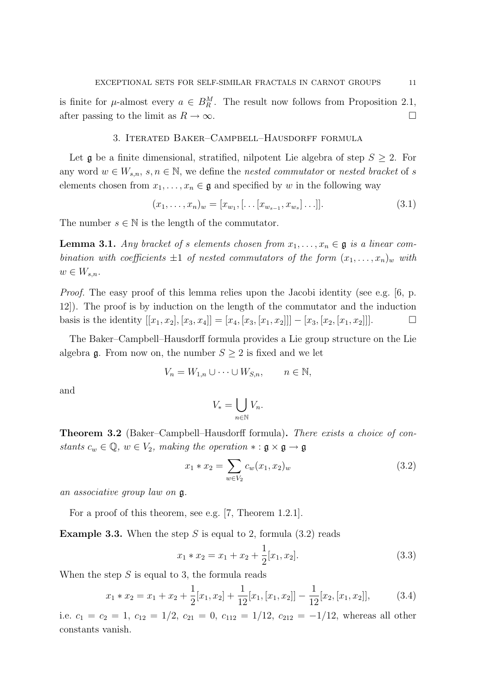is finite for  $\mu$ -almost every  $a \in B_R^M$ . The result now follows from Proposition 2.1, after passing to the limit as  $R \to \infty$ .

## 3. Iterated Baker–Campbell–Hausdorff formula

Let  $\mathfrak g$  be a finite dimensional, stratified, nilpotent Lie algebra of step  $S \geq 2$ . For any word  $w \in W_{s,n}, s, n \in \mathbb{N}$ , we define the nested commutator or nested bracket of s elements chosen from  $x_1, \ldots, x_n \in \mathfrak{g}$  and specified by w in the following way

$$
(x_1, \ldots, x_n)_w = [x_{w_1}, [\ldots [x_{w_{s-1}}, x_{w_s}] \ldots]].
$$
\n(3.1)

The number  $s \in \mathbb{N}$  is the length of the commutator.

**Lemma 3.1.** Any bracket of s elements chosen from  $x_1, \ldots, x_n \in \mathfrak{g}$  is a linear combination with coefficients  $\pm 1$  of nested commutators of the form  $(x_1, \ldots, x_n)_w$  with  $w \in W_{s,n}.$ 

Proof. The easy proof of this lemma relies upon the Jacobi identity (see e.g. [6, p. 12]). The proof is by induction on the length of the commutator and the induction basis is the identity  $[[x_1, x_2], [x_3, x_4]] = [x_4, [x_3, [x_1, x_2]]] - [x_3, [x_2, [x_1, x_2]]].$ 

The Baker–Campbell–Hausdorff formula provides a Lie group structure on the Lie algebra  $\mathfrak g$ . From now on, the number  $S \geq 2$  is fixed and we let

$$
V_n = W_{1,n} \cup \cdots \cup W_{S,n}, \qquad n \in \mathbb{N},
$$

and

$$
V_* = \bigcup_{n \in \mathbb{N}} V_n.
$$

Theorem 3.2 (Baker–Campbell–Hausdorff formula). There exists a choice of constants  $c_w \in \mathbb{Q}$ ,  $w \in V_2$ , making the operation  $* : \mathfrak{g} \times \mathfrak{g} \to \mathfrak{g}$ 

$$
x_1 * x_2 = \sum_{w \in V_2} c_w(x_1, x_2)_w \tag{3.2}
$$

an associative group law on g.

For a proof of this theorem, see e.g. [7, Theorem 1.2.1].

**Example 3.3.** When the step S is equal to 2, formula  $(3.2)$  reads

$$
x_1 * x_2 = x_1 + x_2 + \frac{1}{2}[x_1, x_2].
$$
\n(3.3)

When the step  $S$  is equal to 3, the formula reads

$$
x_1 * x_2 = x_1 + x_2 + \frac{1}{2}[x_1, x_2] + \frac{1}{12}[x_1, [x_1, x_2]] - \frac{1}{12}[x_2, [x_1, x_2]],
$$
(3.4)

i.e.  $c_1 = c_2 = 1$ ,  $c_{12} = 1/2$ ,  $c_{21} = 0$ ,  $c_{112} = 1/12$ ,  $c_{212} = -1/12$ , whereas all other constants vanish.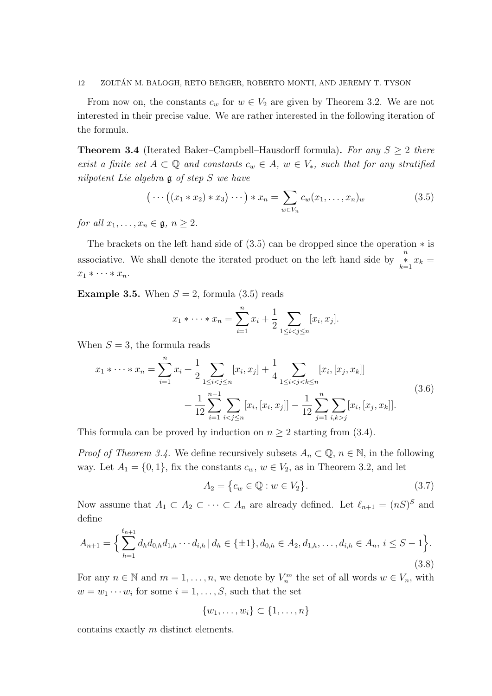From now on, the constants  $c_w$  for  $w \in V_2$  are given by Theorem 3.2. We are not interested in their precise value. We are rather interested in the following iteration of the formula.

**Theorem 3.4** (Iterated Baker–Campbell–Hausdorff formula). For any  $S \geq 2$  there exist a finite set  $A \subset \mathbb{Q}$  and constants  $c_w \in A$ ,  $w \in V_*$ , such that for any stratified nilpotent Lie algebra g of step S we have

$$
\left(\cdots\left(\left(x_1 \ast x_2\right) \ast x_3\right) \cdots\right) \ast x_n = \sum_{w \in V_n} c_w(x_1, \ldots, x_n)_w \tag{3.5}
$$

for all  $x_1, \ldots, x_n \in \mathfrak{g}, n \geq 2$ .

The brackets on the left hand side of  $(3.5)$  can be dropped since the operation  $*$  is associative. We shall denote the iterated product on the left hand side by  $\sum_{k=1}^{n} x_k =$  $x_1 * \cdots * x_n$ .

**Example 3.5.** When  $S = 2$ , formula (3.5) reads

$$
x_1 * \cdots * x_n = \sum_{i=1}^n x_i + \frac{1}{2} \sum_{1 \le i < j \le n} [x_i, x_j].
$$

When  $S = 3$ , the formula reads

$$
x_1 * \cdots * x_n = \sum_{i=1}^n x_i + \frac{1}{2} \sum_{1 \le i < j \le n} [x_i, x_j] + \frac{1}{4} \sum_{1 \le i < j < k \le n} [x_i, [x_j, x_k]]
$$
  
 
$$
+ \frac{1}{12} \sum_{i=1}^{n-1} \sum_{i < j \le n} [x_i, [x_i, x_j]] - \frac{1}{12} \sum_{j=1}^n \sum_{i,k > j} [x_i, [x_j, x_k]]. \tag{3.6}
$$

This formula can be proved by induction on  $n \geq 2$  starting from (3.4).

*Proof of Theorem 3.4.* We define recursively subsets  $A_n \subset \mathbb{Q}$ ,  $n \in \mathbb{N}$ , in the following way. Let  $A_1 = \{0, 1\}$ , fix the constants  $c_w$ ,  $w \in V_2$ , as in Theorem 3.2, and let

$$
A_2 = \{c_w \in \mathbb{Q} : w \in V_2\}.
$$
\n(3.7)

Now assume that  $A_1 \subset A_2 \subset \cdots \subset A_n$  are already defined. Let  $\ell_{n+1} = (nS)^S$  and define

$$
A_{n+1} = \left\{ \sum_{h=1}^{\ell_{n+1}} d_h d_{0,h} d_{1,h} \cdots d_{i,h} \, | \, d_h \in \{\pm 1\}, d_{0,h} \in A_2, d_{1,h}, \ldots, d_{i,h} \in A_n, \, i \leq S - 1 \right\}.
$$
\n
$$
(3.8)
$$

For any  $n \in \mathbb{N}$  and  $m = 1, \ldots, n$ , we denote by  $V_n^m$  the set of all words  $w \in V_n$ , with  $w = w_1 \cdots w_i$  for some  $i = 1, \ldots, S$ , such that the set

$$
\{w_1,\ldots,w_i\}\subset\{1,\ldots,n\}
$$

contains exactly m distinct elements.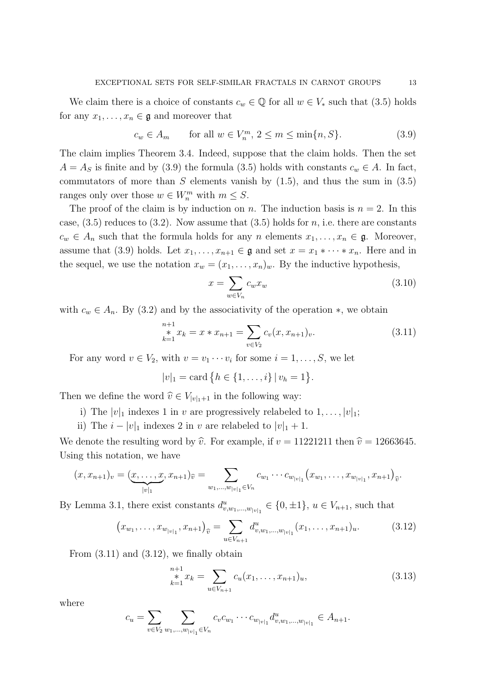We claim there is a choice of constants  $c_w \in \mathbb{Q}$  for all  $w \in V_*$  such that (3.5) holds for any  $x_1, \ldots, x_n \in \mathfrak{g}$  and moreover that

$$
c_w \in A_m \qquad \text{for all } w \in V_n^m, \ 2 \le m \le \min\{n, S\}. \tag{3.9}
$$

The claim implies Theorem 3.4. Indeed, suppose that the claim holds. Then the set  $A = A_S$  is finite and by (3.9) the formula (3.5) holds with constants  $c_w \in A$ . In fact, commutators of more than  $S$  elements vanish by  $(1.5)$ , and thus the sum in  $(3.5)$ ranges only over those  $w \in W_n^m$  with  $m \leq S$ .

The proof of the claim is by induction on n. The induction basis is  $n = 2$ . In this case,  $(3.5)$  reduces to  $(3.2)$ . Now assume that  $(3.5)$  holds for n, i.e. there are constants  $c_w \in A_n$  such that the formula holds for any n elements  $x_1, \ldots, x_n \in \mathfrak{g}$ . Moreover, assume that (3.9) holds. Let  $x_1, \ldots, x_{n+1} \in \mathfrak{g}$  and set  $x = x_1 * \cdots * x_n$ . Here and in the sequel, we use the notation  $x_w = (x_1, \ldots, x_n)_w$ . By the inductive hypothesis,

$$
x = \sum_{w \in V_n} c_w x_w \tag{3.10}
$$

with  $c_w \in A_n$ . By (3.2) and by the associativity of the operation  $\ast$ , we obtain

$$
\sum_{k=1}^{n+1} x_k = x * x_{n+1} = \sum_{v \in V_2} c_v(x, x_{n+1})_v.
$$
 (3.11)

For any word  $v \in V_2$ , with  $v = v_1 \cdots v_i$  for some  $i = 1, \ldots, S$ , we let

$$
|v|_1 = \text{card} \{ h \in \{1, \ldots, i\} \, | \, v_h = 1 \}.
$$

Then we define the word  $\hat{v} \in V_{|v|_1+1}$  in the following way:

- i) The  $|v|_1$  indexes 1 in v are progressively relabeled to  $1, \ldots, |v|_1$ ;
- ii) The  $i |v|_1$  indexes 2 in v are relabeled to  $|v|_1 + 1$ .

We denote the resulting word by  $\hat{v}$ . For example, if  $v = 11221211$  then  $\hat{v} = 12663645$ . Using this notation, we have

$$
(x, x_{n+1})_v = (\underbrace{x, \ldots, x}_{|v|_1}, x_{n+1})_{\widehat{v}} = \sum_{w_1, \ldots, w_{|v|_1} \in V_n} c_{w_1} \cdots c_{w_{|v|_1}} (x_{w_1}, \ldots, x_{w_{|v|_1}}, x_{n+1})_{\widehat{v}}.
$$

By Lemma 3.1, there exist constants  $d_{v,w_1,\dots,w_{|v|_1}}^u \in \{0,\pm 1\}$ ,  $u \in V_{n+1}$ , such that

$$
(x_{w_1}, \ldots, x_{w_{|v|_1}}, x_{n+1})_{\widehat{v}} = \sum_{u \in V_{n+1}} d_{v,w_1,\ldots,w_{|v|_1}}^u (x_1, \ldots, x_{n+1})_u.
$$
 (3.12)

From  $(3.11)$  and  $(3.12)$ , we finally obtain

$$
\sum_{k=1}^{n+1} x_k = \sum_{u \in V_{n+1}} c_u(x_1, \dots, x_{n+1})_u,
$$
\n(3.13)

where

$$
c_u = \sum_{v \in V_2} \sum_{w_1, \dots, w_{|v|_1} \in V_n} c_v c_{w_1} \cdots c_{w_{|v|_1}} d_{v, w_1, \dots, w_{|v|_1}}^u \in A_{n+1}.
$$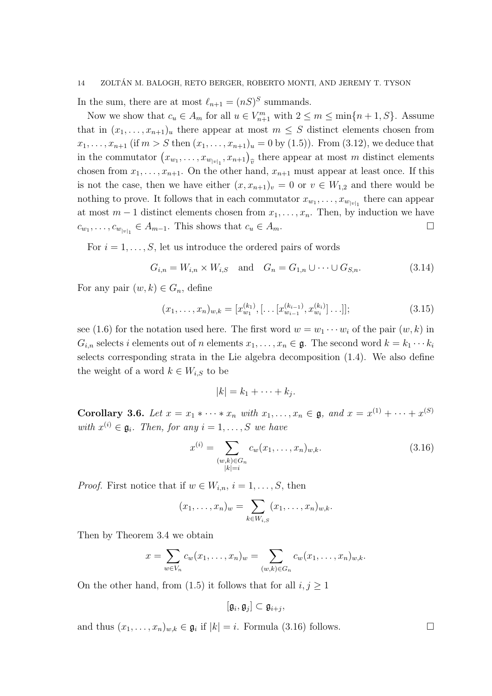In the sum, there are at most  $\ell_{n+1} = (nS)^S$  summands.

Now we show that  $c_u \in A_m$  for all  $u \in V_{n+1}^m$  with  $2 \le m \le \min\{n+1, S\}$ . Assume that in  $(x_1, \ldots, x_{n+1})_u$  there appear at most  $m \leq S$  distinct elements chosen from  $x_1, \ldots, x_{n+1}$  (if  $m > S$  then  $(x_1, \ldots, x_{n+1})_u = 0$  by  $(1.5)$ ). From  $(3.12)$ , we deduce that in the commutator  $(x_{w_1},...,x_{w_{|v|_1}},x_{n+1})_{\hat{v}}$  there appear at most m distinct elements  $\widehat{v}$ chosen from  $x_1, \ldots, x_{n+1}$ . On the other hand,  $x_{n+1}$  must appear at least once. If this is not the case, then we have either  $(x, x_{n+1})_v = 0$  or  $v \in W_{1,2}$  and there would be nothing to prove. It follows that in each commutator  $x_{w_1}, \ldots, x_{w_{|v|_1}}$  there can appear at most  $m-1$  distinct elements chosen from  $x_1, \ldots, x_n$ . Then, by induction we have  $c_{w_1}, \ldots, c_{w_{|v|_1}} \in A_{m-1}$ . This shows that  $c_u \in A_m$ .

For  $i = 1, \ldots, S$ , let us introduce the ordered pairs of words

$$
G_{i,n} = W_{i,n} \times W_{i,S} \text{ and } G_n = G_{1,n} \cup \dots \cup G_{S,n}.
$$
 (3.14)

For any pair  $(w, k) \in G_n$ , define

$$
(x_1, \ldots, x_n)_{w,k} = [x_{w_1}^{(k_1)}, [ \ldots [x_{w_{i-1}}^{(k_{i-1})}, x_{w_i}^{(k_i)}] \ldots ]];
$$
\n(3.15)

see (1.6) for the notation used here. The first word  $w = w_1 \cdots w_i$  of the pair  $(w, k)$  in  $G_{i,n}$  selects i elements out of n elements  $x_1, \ldots, x_n \in \mathfrak{g}$ . The second word  $k = k_1 \cdots k_i$ selects corresponding strata in the Lie algebra decomposition (1.4). We also define the weight of a word  $k \in W_{i,S}$  to be

$$
|k|=k_1+\cdots+k_j.
$$

Corollary 3.6. Let  $x = x_1 * \cdots * x_n$  with  $x_1, \ldots, x_n \in \mathfrak{g}$ , and  $x = x^{(1)} + \cdots + x^{(S)}$ with  $x^{(i)} \in \mathfrak{g}_i$ . Then, for any  $i = 1, \ldots, S$  we have

$$
x^{(i)} = \sum_{\substack{(w,k)\in G_n \\ |k|=i}} c_w(x_1, \dots, x_n)_{w,k}.
$$
 (3.16)

*Proof.* First notice that if  $w \in W_{i,n}$ ,  $i = 1, \ldots, S$ , then

$$
(x_1,\ldots,x_n)_w=\sum_{k\in W_{i,S}}(x_1,\ldots,x_n)_{w,k}.
$$

Then by Theorem 3.4 we obtain

$$
x = \sum_{w \in V_n} c_w(x_1, \dots, x_n)_w = \sum_{(w,k) \in G_n} c_w(x_1, \dots, x_n)_{w,k}.
$$

On the other hand, from (1.5) it follows that for all  $i, j \geq 1$ 

$$
[\mathfrak{g}_i,\mathfrak{g}_j]\subset \mathfrak{g}_{i+j},
$$

and thus  $(x_1, \ldots, x_n)_{w,k} \in \mathfrak{g}_i$  if  $|k| = i$ . Formula (3.16) follows.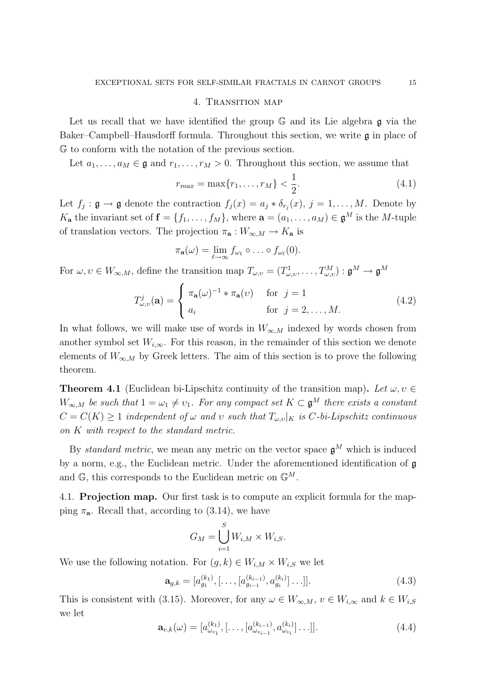### 4. Transition map

Let us recall that we have identified the group G and its Lie algebra g via the Baker–Campbell–Hausdorff formula. Throughout this section, we write  $\mathfrak g$  in place of G to conform with the notation of the previous section.

Let  $a_1, \ldots, a_M \in \mathfrak{g}$  and  $r_1, \ldots, r_M > 0$ . Throughout this section, we assume that

$$
r_{max} = \max\{r_1, \dots, r_M\} < \frac{1}{2}.\tag{4.1}
$$

Let  $f_j: \mathfrak{g} \to \mathfrak{g}$  denote the contraction  $f_j(x) = a_j * \delta_{r_j}(x)$ ,  $j = 1, \ldots, M$ . Denote by  $K_{\mathbf{a}}$  the invariant set of  $\mathbf{f} = \{f_1, \ldots, f_M\}$ , where  $\mathbf{a} = (a_1, \ldots, a_M) \in \mathfrak{g}^M$  is the M-tuple of translation vectors. The projection  $\pi_{\mathbf{a}} : W_{\infty,M} \to K_{\mathbf{a}}$  is

$$
\pi_{\mathbf{a}}(\omega)=\lim_{\ell\to\infty}f_{\omega_1}\circ\ldots\circ f_{\omega_\ell}(0).
$$

For  $\omega, \upsilon \in W_{\infty,M}$ , define the transition map  $T_{\omega,\upsilon} = (T_{\omega,\upsilon}^1, \ldots, T_{\omega,\upsilon}^M) : \mathfrak{g}^M \to \mathfrak{g}^M$ 

$$
T_{\omega,v}^j(\mathbf{a}) = \begin{cases} \pi_\mathbf{a}(\omega)^{-1} * \pi_\mathbf{a}(v) & \text{for } j = 1 \\ a_i & \text{for } j = 2, \dots, M. \end{cases}
$$
(4.2)

In what follows, we will make use of words in  $W_{\infty,M}$  indexed by words chosen from another symbol set  $W_{i,\infty}$ . For this reason, in the remainder of this section we denote elements of  $W_{\infty,M}$  by Greek letters. The aim of this section is to prove the following theorem.

**Theorem 4.1** (Euclidean bi-Lipschitz continuity of the transition map). Let  $\omega, \upsilon \in$  $W_{\infty,M}$  be such that  $1 = \omega_1 \neq \omega_1$ . For any compact set  $K \subset \mathfrak{g}^M$  there exists a constant  $C = C(K) \geq 1$  independent of  $\omega$  and  $\upsilon$  such that  $T_{\omega,\upsilon}|_K$  is C-bi-Lipschitz continuous on K with respect to the standard metric.

By standard metric, we mean any metric on the vector space  $\mathfrak{g}^M$  which is induced by a norm, e.g., the Euclidean metric. Under the aforementioned identification of g and  $\mathbb{G}$ , this corresponds to the Euclidean metric on  $\mathbb{G}^M$ .

4.1. Projection map. Our first task is to compute an explicit formula for the mapping  $\pi_a$ . Recall that, according to (3.14), we have

$$
G_M = \bigcup_{i=1}^S W_{i,M} \times W_{i,S}.
$$

We use the following notation. For  $(g, k) \in W_{i,M} \times W_{i,S}$  we let

$$
\mathbf{a}_{g,k} = [a_{g_1}^{(k_1)}, [ \dots, [a_{g_{i-1}}^{(k_{i-1})}, a_{g_i}^{(k_i)}] \dots ]]. \tag{4.3}
$$

This is consistent with (3.15). Moreover, for any  $\omega \in W_{\infty,M}$ ,  $v \in W_{i,\infty}$  and  $k \in W_{i,S}$ we let

$$
\mathbf{a}_{v,k}(\omega) = [a_{\omega_{v_1}}^{(k_1)}, [\dots, [a_{\omega_{v_{i-1}}}^{(k_{i-1})}, a_{\omega_{v_i}}^{(k_i)}] \dots]]. \qquad (4.4)
$$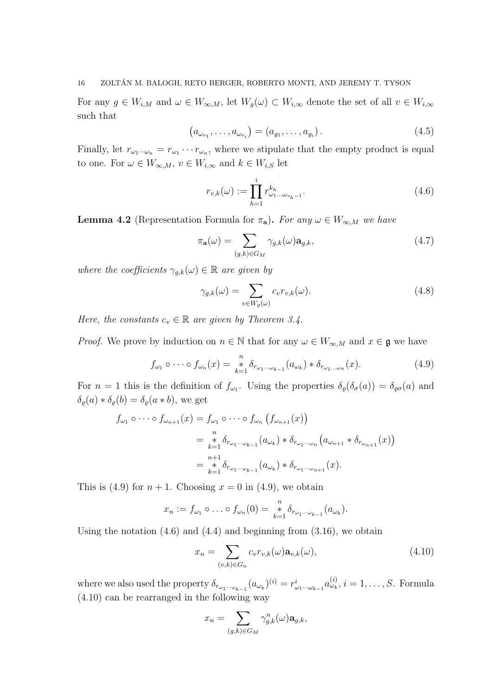For any  $g \in W_{i,M}$  and  $\omega \in W_{\infty,M}$ , let  $W_g(\omega) \subset W_{i,\infty}$  denote the set of all  $v \in W_{i,\infty}$ such that

$$
(a_{\omega_{v_1}}, \ldots, a_{\omega_{v_i}}) = (a_{g_1}, \ldots, a_{g_i}).
$$
\n(4.5)

Finally, let  $r_{\omega_1\cdots\omega_n} = r_{\omega_1}\cdots r_{\omega_n}$ , where we stipulate that the empty product is equal to one. For  $\omega \in W_{\infty,M}$ ,  $v \in W_{i,\infty}$  and  $k \in W_{i,S}$  let

$$
r_{v,k}(\omega) := \prod_{h=1}^{i} r_{\omega_1...\omega_{v_h-1}}^{k_h}.
$$
\n(4.6)

**Lemma 4.2** (Representation Formula for  $\pi_a$ ). For any  $\omega \in W_{\infty,M}$  we have

$$
\pi_{\mathbf{a}}(\omega) = \sum_{(g,k)\in G_M} \gamma_{g,k}(\omega) \mathbf{a}_{g,k},\tag{4.7}
$$

where the coefficients  $\gamma_{g,k}(\omega) \in \mathbb{R}$  are given by

$$
\gamma_{g,k}(\omega) = \sum_{v \in W_g(\omega)} c_v r_{v,k}(\omega). \tag{4.8}
$$

Here, the constants  $c_v \in \mathbb{R}$  are given by Theorem 3.4.

*Proof.* We prove by induction on  $n \in \mathbb{N}$  that for any  $\omega \in W_{\infty,M}$  and  $x \in \mathfrak{g}$  we have

$$
f_{\omega_1} \circ \cdots \circ f_{\omega_n}(x) = \sum_{k=1}^n \delta_{r_{\omega_1 \cdots \omega_{k-1}}}(a_{\omega_k}) * \delta_{r_{\omega_1 \cdots \omega_n}}(x).
$$
 (4.9)

For  $n=1$  this is the definition of  $f_{\omega_1}$ . Using the properties  $\delta_{\varrho}(\delta_{\sigma}(a)) = \delta_{\varrho\sigma}(a)$  and  $\delta_{\varrho}(a) * \delta_{\varrho}(b) = \delta_{\varrho}(a * b)$ , we get

$$
f_{\omega_1} \circ \cdots \circ f_{\omega_{n+1}}(x) = f_{\omega_1} \circ \cdots \circ f_{\omega_n} (f_{\omega_{n+1}}(x))
$$
  
= 
$$
\sum_{k=1}^n \delta_{r_{\omega_1 \cdots \omega_{k-1}}}(a_{\omega_k}) * \delta_{r_{\omega_1 \cdots \omega_n}}(a_{\omega_{n+1}} * \delta_{r_{\omega_{n+1}}}(x))
$$
  
= 
$$
\sum_{k=1}^{n+1} \delta_{r_{\omega_1 \cdots \omega_{k-1}}}(a_{\omega_k}) * \delta_{r_{\omega_1 \cdots \omega_{n+1}}}(x).
$$

This is (4.9) for  $n + 1$ . Choosing  $x = 0$  in (4.9), we obtain

$$
x_n := f_{\omega_1} \circ \ldots \circ f_{\omega_n}(0) = \underset{k=1}{\overset{n}{*}} \delta_{r_{\omega_1 \cdots \omega_{k-1}}}(a_{\omega_k}).
$$

Using the notation  $(4.6)$  and  $(4.4)$  and beginning from  $(3.16)$ , we obtain

$$
x_n = \sum_{(v,k)\in G_n} c_v r_{v,k}(\omega) \mathbf{a}_{v,k}(\omega), \qquad (4.10)
$$

where we also used the property  $\delta_{r_{\omega_1\cdots\omega_{k-1}}}(a_{\omega_k})^{(i)}=r_{\omega_1\cdots\omega_{k-1}}^i a_{\omega_k}^{(i)}, i=1,\ldots,S$ . Formula (4.10) can be rearranged in the following way

$$
x_n = \sum_{(g,k)\in G_M} \gamma_{g,k}^n(\omega) \mathbf{a}_{g,k},
$$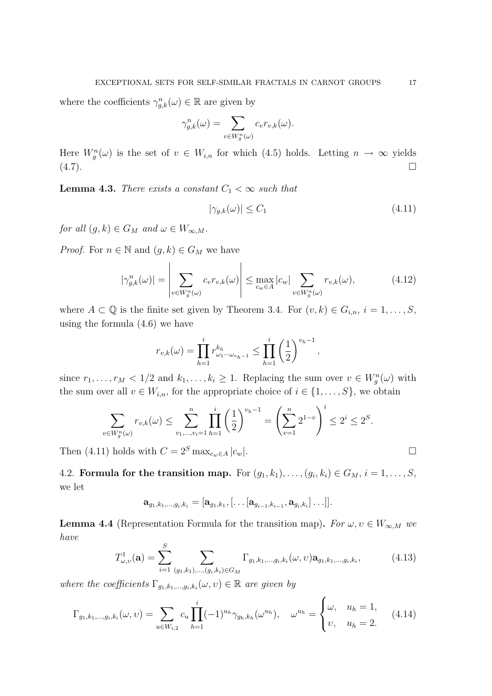where the coefficients  $\gamma_{g,k}^n(\omega) \in \mathbb{R}$  are given by

$$
\gamma_{g,k}^n(\omega) = \sum_{v \in W_g^n(\omega)} c_v r_{v,k}(\omega).
$$

Here  $W_g^n(\omega)$  is the set of  $v \in W_{i,n}$  for which (4.5) holds. Letting  $n \to \infty$  yields  $(4.7).$ 

**Lemma 4.3.** There exists a constant  $C_1 < \infty$  such that

$$
|\gamma_{g,k}(\omega)| \le C_1 \tag{4.11}
$$

for all  $(g, k) \in G_M$  and  $\omega \in W_{\infty,M}$ .

*Proof.* For  $n \in \mathbb{N}$  and  $(g, k) \in G_M$  we have

$$
|\gamma_{g,k}^n(\omega)| = \left| \sum_{v \in W_g^n(\omega)} c_v r_{v,k}(\omega) \right| \le \max_{c_w \in A} |c_w| \sum_{v \in W_g^n(\omega)} r_{v,k}(\omega), \tag{4.12}
$$

where  $A \subset \mathbb{Q}$  is the finite set given by Theorem 3.4. For  $(v, k) \in G_{i,n}, i = 1, \ldots, S$ , using the formula (4.6) we have

$$
r_{v,k}(\omega) = \prod_{h=1}^{i} r_{\omega_1 \cdots \omega_{v_h-1}}^{k_h} \le \prod_{h=1}^{i} \left(\frac{1}{2}\right)^{v_h-1},
$$

since  $r_1, \ldots, r_M < 1/2$  and  $k_1, \ldots, k_i \geq 1$ . Replacing the sum over  $v \in W_g^n(\omega)$  with the sum over all  $v \in W_{i,n}$ , for the appropriate choice of  $i \in \{1, \ldots, S\}$ , we obtain

$$
\sum_{v \in W_g^n(\omega)} r_{v,k}(\omega) \le \sum_{v_1, \dots, v_i=1}^n \prod_{h=1}^i \left(\frac{1}{2}\right)^{v_h - 1} = \left(\sum_{v=1}^n 2^{1-v}\right)^i \le 2^i \le 2^s.
$$

Then (4.11) holds with  $C = 2<sup>S</sup> \max_{c_w \in A} |c_w|$ .

4.2. Formula for the transition map. For  $(g_1, k_1), \ldots, (g_i, k_i) \in G_M$ ,  $i = 1, \ldots, S$ , we let

$$
\mathbf{a}_{g_1,k_1,...,g_i,k_i} = [\mathbf{a}_{g_1,k_1},[\ldots [\mathbf{a}_{g_{i-1},k_{i-1}},\mathbf{a}_{g_i,k_i}]\ldots]].
$$

**Lemma 4.4** (Representation Formula for the transition map). For  $\omega, \upsilon \in W_{\infty,M}$  we have

$$
T_{\omega,v}^1(\mathbf{a}) = \sum_{i=1}^S \sum_{(g_1,k_1),\dots,(g_i,k_i)\in G_M} \Gamma_{g_1,k_1,\dots,g_i,k_i}(\omega,\upsilon) \mathbf{a}_{g_1,k_1,\dots,g_i,k_i},\tag{4.13}
$$

where the coefficients  $\Gamma_{g_1,k_1,\dots,g_i,k_i}(\omega,\nu) \in \mathbb{R}$  are given by

$$
\Gamma_{g_1,k_1,\dots,g_i,k_i}(\omega,\upsilon) = \sum_{u \in W_{i,2}} c_u \prod_{h=1}^i (-1)^{u_h} \gamma_{g_h,k_h}(\omega^{u_h}), \quad \omega^{u_h} = \begin{cases} \omega, & u_h = 1, \\ \upsilon, & u_h = 2. \end{cases} \tag{4.14}
$$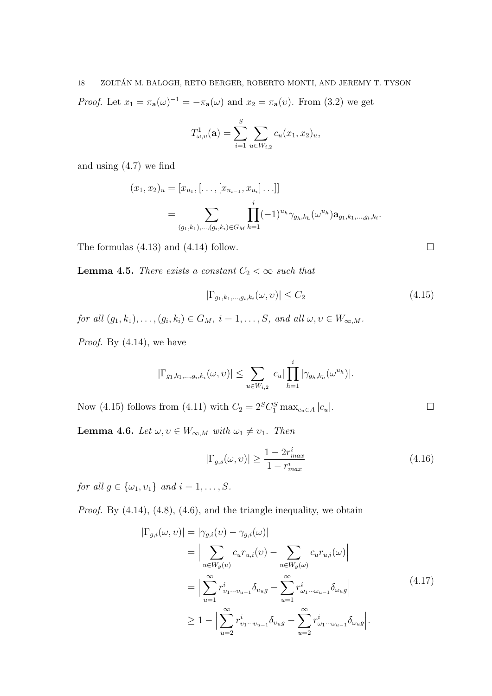18 ZOLTAN M. BALOGH, RETO BERGER, ROBERTO MONTI, AND JEREMY T. TYSON ´ *Proof.* Let  $x_1 = \pi_a(\omega)^{-1} = -\pi_a(\omega)$  and  $x_2 = \pi_a(\nu)$ . From (3.2) we get

$$
T_{\omega,v}^1(\mathbf{a}) = \sum_{i=1}^S \sum_{u \in W_{i,2}} c_u(x_1, x_2)_u,
$$

and using (4.7) we find

$$
(x_1, x_2)_u = [x_{u_1}, [\dots, [x_{u_{i-1}}, x_{u_i}] \dots]]
$$
  
= 
$$
\sum_{(g_1, k_1), \dots, (g_i, k_i) \in G_M} \prod_{h=1}^i (-1)^{u_h} \gamma_{g_h, k_h}(\omega^{u_h}) \mathbf{a}_{g_1, k_1, \dots, g_i, k_i}.
$$

The formulas  $(4.13)$  and  $(4.14)$  follow.

**Lemma 4.5.** There exists a constant  $C_2 < \infty$  such that

$$
|\Gamma_{g_1,k_1,\dots,g_i,k_i}(\omega,\nu)| \le C_2
$$
\n(4.15)

for all  $(g_1, k_1), \ldots, (g_i, k_i) \in G_M$ ,  $i = 1, \ldots, S$ , and all  $\omega, \upsilon \in W_{\infty,M}$ .

*Proof.* By  $(4.14)$ , we have

$$
|\Gamma_{g_1,k_1,\dots,g_i,k_i}(\omega,\nu)| \leq \sum_{u \in W_{i,2}} |c_u| \prod_{h=1}^i |\gamma_{g_h,k_h}(\omega^{u_h})|.
$$

Now (4.15) follows from (4.11) with  $C_2 = 2^S C_1^S \max_{c_u \in A} |c_u|$ .

**Lemma 4.6.** Let  $\omega, \upsilon \in W_{\infty,M}$  with  $\omega_1 \neq \upsilon_1$ . Then

$$
|\Gamma_{g,s}(\omega,\upsilon)| \ge \frac{1 - 2r_{max}^i}{1 - r_{max}^i} \tag{4.16}
$$

for all  $g \in {\{\omega_1, \nu_1\}}$  and  $i = 1, \ldots, S$ .

Proof. By  $(4.14)$ ,  $(4.8)$ ,  $(4.6)$ , and the triangle inequality, we obtain

$$
|\Gamma_{g,i}(\omega,\nu)| = |\gamma_{g,i}(\nu) - \gamma_{g,i}(\omega)|
$$
  
\n
$$
= \Big| \sum_{u \in W_g(\nu)} c_u r_{u,i}(\nu) - \sum_{u \in W_g(\omega)} c_u r_{u,i}(\omega) \Big|
$$
  
\n
$$
= \Big| \sum_{u=1}^{\infty} r_{v_1 \cdots v_{u-1}}^i \delta_{v_u g} - \sum_{u=1}^{\infty} r_{\omega_1 \cdots \omega_{u-1}}^i \delta_{\omega_u g} \Big|
$$
  
\n
$$
\geq 1 - \Big| \sum_{u=2}^{\infty} r_{v_1 \cdots v_{u-1}}^i \delta_{v_u g} - \sum_{u=2}^{\infty} r_{\omega_1 \cdots \omega_{u-1}}^i \delta_{\omega_u g} \Big|.
$$
\n(4.17)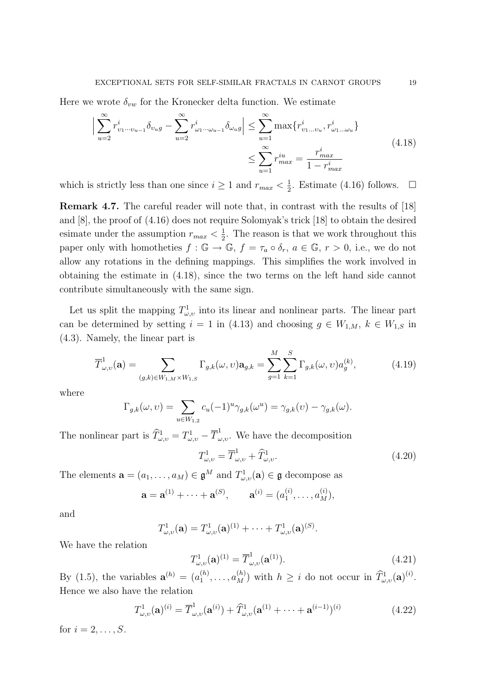Here we wrote  $\delta_{vw}$  for the Kronecker delta function. We estimate

$$
\left| \sum_{u=2}^{\infty} r_{v_1 \cdots v_{u-1}}^i \delta_{v_u g} - \sum_{u=2}^{\infty} r_{\omega_1 \cdots \omega_{u-1}}^i \delta_{\omega_u g} \right| \le \sum_{u=1}^{\infty} \max \{ r_{v_1 \dots v_u}^i, r_{\omega_1 \dots \omega_u}^i \}
$$
\n
$$
\le \sum_{u=1}^{\infty} r_{max}^{iu} = \frac{r_{max}^i}{1 - r_{max}^i}
$$
\n(4.18)

which is strictly less than one since  $i \geq 1$  and  $r_{max} < \frac{1}{2}$  $\frac{1}{2}$ . Estimate (4.16) follows.  $\Box$ 

Remark 4.7. The careful reader will note that, in contrast with the results of [18] and [8], the proof of (4.16) does not require Solomyak's trick [18] to obtain the desired esimate under the assumption  $r_{max} < \frac{1}{2}$  $\frac{1}{2}$ . The reason is that we work throughout this paper only with homotheties  $f : \mathbb{G} \to \mathbb{G}$ ,  $f = \tau_a \circ \delta_r$ ,  $a \in \mathbb{G}$ ,  $r > 0$ , i.e., we do not allow any rotations in the defining mappings. This simplifies the work involved in obtaining the estimate in (4.18), since the two terms on the left hand side cannot contribute simultaneously with the same sign.

Let us split the mapping  $T^1_{\omega,\nu}$  into its linear and nonlinear parts. The linear part can be determined by setting  $i = 1$  in (4.13) and choosing  $g \in W_{1,M}$ ,  $k \in W_{1,S}$  in (4.3). Namely, the linear part is

$$
\overline{T}_{\omega,v}^1(\mathbf{a}) = \sum_{(g,k)\in W_{1,M}\times W_{1,S}} \Gamma_{g,k}(\omega, v) \mathbf{a}_{g,k} = \sum_{g=1}^M \sum_{k=1}^S \Gamma_{g,k}(\omega, v) a_g^{(k)},
$$
(4.19)

where

$$
\Gamma_{g,k}(\omega,\upsilon)=\sum_{u\in W_{1,2}}c_u(-1)^u\gamma_{g,k}(\omega^u)=\gamma_{g,k}(\upsilon)-\gamma_{g,k}(\omega).
$$

The nonlinear part is  $\widehat{T}^1_{\omega,v} = T^1_{\omega,v} - \overline{T}^1_{\omega,v}$ . We have the decomposition

$$
T_{\omega,v}^1 = \overline{T}_{\omega,v}^1 + \widehat{T}_{\omega,v}^1. \tag{4.20}
$$

The elements  $\mathbf{a} = (a_1, \dots, a_M) \in \mathfrak{g}^M$  and  $T^1_{\omega,v}(\mathbf{a}) \in \mathfrak{g}$  decompose as

$$
\mathbf{a} = \mathbf{a}^{(1)} + \cdots + \mathbf{a}^{(S)}, \qquad \mathbf{a}^{(i)} = (a_1^{(i)}, \ldots, a_M^{(i)}),
$$

and

$$
T_{\omega,v}^1(\mathbf{a})=T_{\omega,v}^1(\mathbf{a})^{(1)}+\cdots+T_{\omega,v}^1(\mathbf{a})^{(S)}.
$$

We have the relation

$$
T_{\omega,\upsilon}^{1}(\mathbf{a})^{(1)} = \overline{T}_{\omega,\upsilon}^{1}(\mathbf{a}^{(1)}).
$$
 (4.21)

By (1.5), the variables  $\mathbf{a}^{(h)} = (a_1^{(h)}\)$  $\binom{h}{1}, \ldots, a_M^{(h)}$  with  $h \geq i$  do not occur in  $\widehat{T}^1_{\omega, v}(\mathbf{a})^{(i)}$ . Hence we also have the relation

$$
T_{\omega,\upsilon}^{1}(\mathbf{a})^{(i)} = \overline{T}_{\omega,\upsilon}^{1}(\mathbf{a}^{(i)}) + \widehat{T}_{\omega,\upsilon}^{1}(\mathbf{a}^{(1)} + \dots + \mathbf{a}^{(i-1)})^{(i)}
$$
(4.22)

for  $i = 2, \ldots, S$ .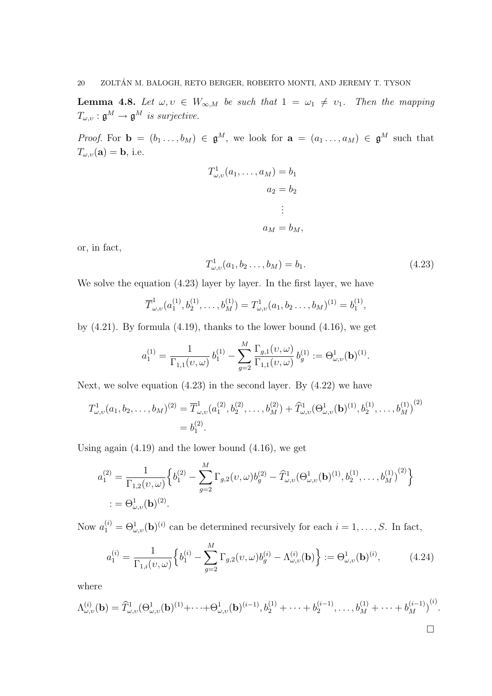**Lemma 4.8.** Let  $\omega, \nu \in W_{\infty,M}$  be such that  $1 = \omega_1 \neq \nu_1$ . Then the mapping  $T_{\omega,\upsilon}:\mathfrak{g}^M\to\mathfrak{g}^M$  is surjective.

*Proof.* For  $\mathbf{b} = (b_1 \ldots, b_M) \in \mathfrak{g}^M$ , we look for  $\mathbf{a} = (a_1 \ldots, a_M) \in \mathfrak{g}^M$  such that  $T_{\omega,\nu}(\mathbf{a}) = \mathbf{b}$ , i.e.

$$
T_{\omega,v}^1(a_1,\ldots,a_M) = b_1
$$
  

$$
a_2 = b_2
$$
  

$$
\vdots
$$
  

$$
a_M = b_M,
$$

or, in fact,

$$
T_{\omega,\upsilon}^1(a_1, b_2 \dots, b_M) = b_1. \tag{4.23}
$$

We solve the equation (4.23) layer by layer. In the first layer, we have

$$
\overline{T}_{\omega,\upsilon}^1(a_1^{(1)},b_2^{(1)},\ldots,b_M^{(1)})=T_{\omega,\upsilon}^1(a_1,b_2\ldots,b_M)^{(1)}=b_1^{(1)},
$$

by  $(4.21)$ . By formula  $(4.19)$ , thanks to the lower bound  $(4.16)$ , we get

$$
a_1^{(1)} = \frac{1}{\Gamma_{1,1}(\nu,\omega)} b_1^{(1)} - \sum_{g=2}^M \frac{\Gamma_{g,1}(\nu,\omega)}{\Gamma_{1,1}(\nu,\omega)} b_g^{(1)} := \Theta_{\omega,\upsilon}^1(\mathbf{b})^{(1)}.
$$

Next, we solve equation  $(4.23)$  in the second layer. By  $(4.22)$  we have

$$
T^{1}_{\omega,\upsilon}(a_1, b_2, \dots, b_M)^{(2)} = \overline{T}^{1}_{\omega,\upsilon}(a_1^{(2)}, b_2^{(2)}, \dots, b_M^{(2)}) + \widehat{T}^{1}_{\omega,\upsilon}(\Theta^1_{\omega,\upsilon}(\mathbf{b})^{(1)}, b_2^{(1)}, \dots, b_M^{(1)})^{(2)}
$$
  
=  $b_1^{(2)}$ .

Using again (4.19) and the lower bound (4.16), we get

$$
a_1^{(2)} = \frac{1}{\Gamma_{1,2}(\nu,\omega)} \Big\{ b_1^{(2)} - \sum_{g=2}^M \Gamma_{g,2}(\nu,\omega) b_g^{(2)} - \widehat{T}_{\omega,\nu}^1(\Theta_{\omega,\nu}^1(\mathbf{b})^{(1)}, b_2^{(1)}, \dots, b_M^{(1)})^{(2)} \Big\}
$$
  
:=  $\Theta_{\omega,\nu}^1(\mathbf{b})^{(2)}$ .

Now  $a_1^{(i)} = \Theta_{\omega,v}^1(\mathbf{b})^{(i)}$  can be determined recursively for each  $i = 1, \ldots, S$ . In fact,

$$
a_1^{(i)} = \frac{1}{\Gamma_{1,i}(v,\omega)} \Big\{ b_1^{(i)} - \sum_{g=2}^M \Gamma_{g,2}(v,\omega) b_g^{(i)} - \Lambda_{\omega,v}^{(i)}(\mathbf{b}) \Big\} := \Theta_{\omega,v}^1(\mathbf{b})^{(i)}, \tag{4.24}
$$

where

$$
\Lambda_{\omega,v}^{(i)}(\mathbf{b}) = \widehat{T}_{\omega,v}^1(\Theta_{\omega,v}^1(\mathbf{b})^{(1)} + \cdots + \Theta_{\omega,v}^1(\mathbf{b})^{(i-1)}, b_2^{(1)} + \cdots + b_2^{(i-1)}, \ldots, b_M^{(1)} + \cdots + b_M^{(i-1)})^{(i)}.
$$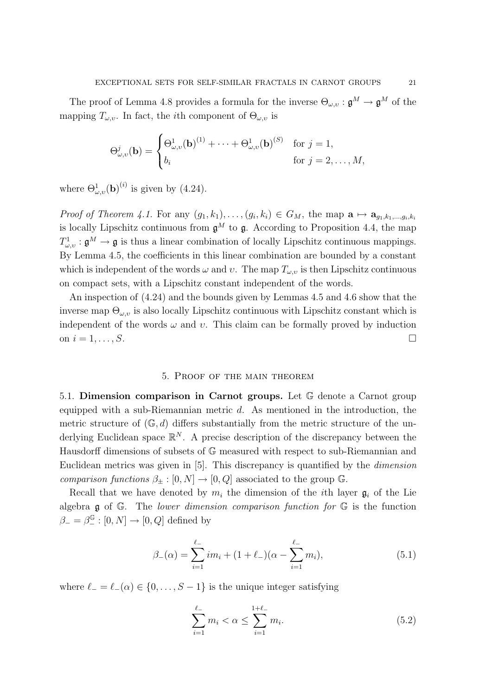The proof of Lemma 4.8 provides a formula for the inverse  $\Theta_{\omega,v} : \mathfrak{g}^M \to \mathfrak{g}^M$  of the mapping  $T_{\omega,v}$ . In fact, the *i*th component of  $\Theta_{\omega,v}$  is

$$
\Theta_{\omega,v}^j(\mathbf{b}) = \begin{cases} \Theta_{\omega,v}^1(\mathbf{b})^{(1)} + \cdots + \Theta_{\omega,v}^1(\mathbf{b})^{(S)} & \text{for } j = 1, \\ b_i & \text{for } j = 2, \dots, M, \end{cases}
$$

where  $\Theta_{\omega,v}^1(\mathbf{b})^{(i)}$  is given by (4.24).

*Proof of Theorem 4.1.* For any  $(g_1, k_1), \ldots, (g_i, k_i) \in G_M$ , the map  $\mathbf{a} \mapsto \mathbf{a}_{g_1, k_1, \ldots, g_i, k_i}$ is locally Lipschitz continuous from  $\mathfrak{g}^M$  to  $\mathfrak{g}$ . According to Proposition 4.4, the map  $T^1_{\omega,\upsilon}$ :  $\mathfrak{g}^M \to \mathfrak{g}$  is thus a linear combination of locally Lipschitz continuous mappings. By Lemma 4.5, the coefficients in this linear combination are bounded by a constant which is independent of the words  $\omega$  and  $\nu$ . The map  $T_{\omega,\nu}$  is then Lipschitz continuous on compact sets, with a Lipschitz constant independent of the words.

An inspection of (4.24) and the bounds given by Lemmas 4.5 and 4.6 show that the inverse map  $\Theta_{\omega,v}$  is also locally Lipschitz continuous with Lipschitz constant which is independent of the words  $\omega$  and  $\upsilon$ . This claim can be formally proved by induction on  $i = 1, \ldots, S$ .

# 5. Proof of the main theorem

5.1. Dimension comparison in Carnot groups. Let G denote a Carnot group equipped with a sub-Riemannian metric d. As mentioned in the introduction, the metric structure of  $(\mathbb{G}, d)$  differs substantially from the metric structure of the underlying Euclidean space  $\mathbb{R}^N$ . A precise description of the discrepancy between the Hausdorff dimensions of subsets of G measured with respect to sub-Riemannian and Euclidean metrics was given in [5]. This discrepancy is quantified by the dimension comparison functions  $\beta_{\pm} : [0, N] \to [0, Q]$  associated to the group G.

Recall that we have denoted by  $m_i$  the dimension of the *i*th layer  $\mathfrak{g}_i$  of the Lie algebra  $\mathfrak g$  of  $\mathbb G$ . The lower dimension comparison function for  $\mathbb G$  is the function  $\beta_- = \beta_-^{\mathbb{G}} : [0, N] \to [0, Q]$  defined by

$$
\beta_{-}(\alpha) = \sum_{i=1}^{\ell_{-}} i m_{i} + (1 + \ell_{-})(\alpha - \sum_{i=1}^{\ell_{-}} m_{i}), \qquad (5.1)
$$

where  $\ell_- = \ell_-(\alpha) \in \{0, \ldots, S-1\}$  is the unique integer satisfying

$$
\sum_{i=1}^{\ell_{-}} m_{i} < \alpha \leq \sum_{i=1}^{1+\ell_{-}} m_{i}.\tag{5.2}
$$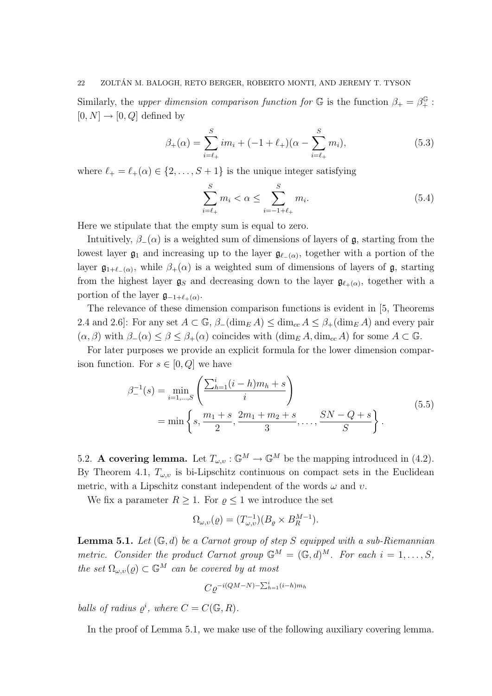Similarly, the upper dimension comparison function for  $\mathbb{G}$  is the function  $\beta_+ = \beta_+^{\mathbb{G}}$ :  $[0, N] \rightarrow [0, Q]$  defined by

$$
\beta_{+}(\alpha) = \sum_{i=\ell_{+}}^{S} im_{i} + (-1+\ell_{+})(\alpha - \sum_{i=\ell_{+}}^{S} m_{i}), \qquad (5.3)
$$

where  $\ell_+ = \ell_+(\alpha) \in \{2, \ldots, S + 1\}$  is the unique integer satisfying

$$
\sum_{i=\ell_{+}}^{S} m_{i} < \alpha \leq \sum_{i=-1+\ell_{+}}^{S} m_{i}.\tag{5.4}
$$

Here we stipulate that the empty sum is equal to zero.

Intuitively,  $\beta_-(\alpha)$  is a weighted sum of dimensions of layers of q, starting from the lowest layer  $\mathfrak{g}_1$  and increasing up to the layer  $\mathfrak{g}_{\ell-(\alpha)}$ , together with a portion of the layer  $\mathfrak{g}_{1+\ell-(\alpha)}$ , while  $\beta_+(\alpha)$  is a weighted sum of dimensions of layers of  $\mathfrak{g}$ , starting from the highest layer  $g_S$  and decreasing down to the layer  $g_{\ell_+(\alpha)}$ , together with a portion of the layer  $\mathfrak{g}_{-1+\ell_{+}(\alpha)}$ .

The relevance of these dimension comparison functions is evident in [5, Theorems 2.4 and 2.6]: For any set  $A \subset \mathbb{G}$ ,  $\beta_{-}(\dim_{E} A) \leq \dim_{\text{cc}} A \leq \beta_{+}(\dim_{E} A)$  and every pair  $(\alpha, \beta)$  with  $\beta_-(\alpha) \leq \beta \leq \beta_+(\alpha)$  coincides with  $(\dim_E A, \dim_{ce} A)$  for some  $A \subset \mathbb{G}$ .

For later purposes we provide an explicit formula for the lower dimension comparison function. For  $s \in [0, Q]$  we have

$$
\beta_{-}^{-1}(s) = \min_{i=1,\dots,S} \left( \frac{\sum_{h=1}^{i} (i-h)m_h + s}{i} \right)
$$
  
= min  $\left\{ s, \frac{m_1 + s}{2}, \frac{2m_1 + m_2 + s}{3}, \dots, \frac{SN - Q + s}{S} \right\}.$  (5.5)

5.2. A covering lemma. Let  $T_{\omega,\nu} : \mathbb{G}^M \to \mathbb{G}^M$  be the mapping introduced in (4.2). By Theorem 4.1,  $T_{\omega, v}$  is bi-Lipschitz continuous on compact sets in the Euclidean metric, with a Lipschitz constant independent of the words  $\omega$  and  $\upsilon$ .

We fix a parameter  $R \geq 1$ . For  $\varrho \leq 1$  we introduce the set

$$
\Omega_{\omega,v}(\varrho) = (T_{\omega,v}^{-1})(B_{\varrho} \times B_R^{M-1}).
$$

**Lemma 5.1.** Let  $(\mathbb{G}, d)$  be a Carnot group of step S equipped with a sub-Riemannian metric. Consider the product Carnot group  $\mathbb{G}^M = (\mathbb{G}, d)^M$ . For each  $i = 1, \ldots, S$ , the set  $\Omega_{\omega,v}(\varrho) \subset \mathbb{G}^M$  can be covered by at most

$$
C\varrho^{-i(QM-N)-\sum_{h=1}^{i}(i-h)m_h}
$$

balls of radius  $\varrho^i$ , where  $C = C(\mathbb{G}, R)$ .

In the proof of Lemma 5.1, we make use of the following auxiliary covering lemma.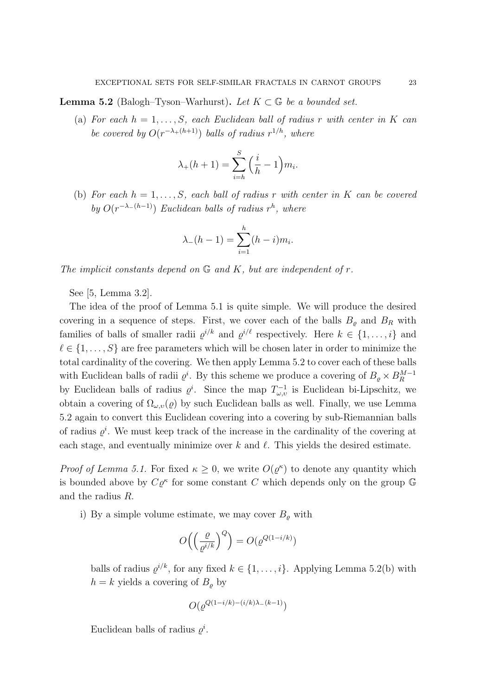**Lemma 5.2** (Balogh–Tyson–Warhurst). Let  $K \subset \mathbb{G}$  be a bounded set.

(a) For each  $h = 1, \ldots, S$ , each Euclidean ball of radius r with center in K can be covered by  $O(r^{-\lambda+(h+1)})$  balls of radius  $r^{1/h}$ , where

$$
\lambda_{+}(h+1) = \sum_{i=h}^{S} \left(\frac{i}{h} - 1\right) m_i.
$$

(b) For each  $h = 1, \ldots, S$ , each ball of radius r with center in K can be covered by  $O(r^{-\lambda-(h-1)})$  Euclidean balls of radius  $r^h$ , where

$$
\lambda_{-}(h-1) = \sum_{i=1}^{h} (h-i)m_i.
$$

The implicit constants depend on  $\mathbb G$  and  $K$ , but are independent of  $r$ .

See [5, Lemma 3.2].

The idea of the proof of Lemma 5.1 is quite simple. We will produce the desired covering in a sequence of steps. First, we cover each of the balls  $B_{\varrho}$  and  $B_{R}$  with families of balls of smaller radii  $\varrho^{i/k}$  and  $\varrho^{i/\ell}$  respectively. Here  $k \in \{1, \ldots, i\}$  and  $\ell \in \{1, \ldots, S\}$  are free parameters which will be chosen later in order to minimize the total cardinality of the covering. We then apply Lemma 5.2 to cover each of these balls with Euclidean balls of radii  $\varrho^i$ . By this scheme we produce a covering of  $B_{\varrho} \times B_R^{M-1}$ R by Euclidean balls of radius  $\varrho^i$ . Since the map  $T_{\omega,v}^{-1}$  is Euclidean bi-Lipschitz, we obtain a covering of  $\Omega_{\omega,\nu}(\rho)$  by such Euclidean balls as well. Finally, we use Lemma 5.2 again to convert this Euclidean covering into a covering by sub-Riemannian balls of radius  $\varrho^i$ . We must keep track of the increase in the cardinality of the covering at each stage, and eventually minimize over  $k$  and  $\ell$ . This yields the desired estimate.

*Proof of Lemma 5.1.* For fixed  $\kappa \geq 0$ , we write  $O(\varrho^{\kappa})$  to denote any quantity which is bounded above by  $C\varrho^{\kappa}$  for some constant C which depends only on the group G and the radius R.

i) By a simple volume estimate, we may cover  $B_{\rho}$  with

$$
O\left(\left(\frac{\varrho}{\varrho^{i/k}}\right)^Q\right) = O(\varrho^{Q(1-i/k)})
$$

balls of radius  $\varrho^{i/k}$ , for any fixed  $k \in \{1, \ldots, i\}$ . Applying Lemma 5.2(b) with  $h = k$  yields a covering of  $B_{\rho}$  by

$$
O(\varrho^{Q(1-i/k)-(i/k)\lambda_-(k-1)})
$$

Euclidean balls of radius  $\varrho^i$ .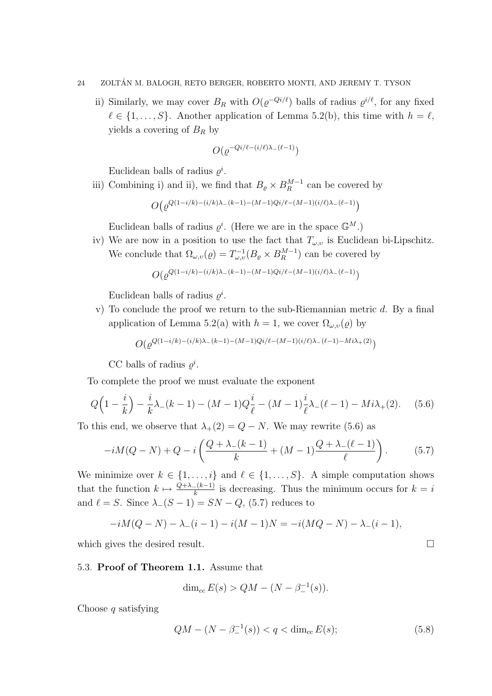ii) Similarly, we may cover  $B_R$  with  $O(\varrho^{-Q_i/\ell})$  balls of radius  $\varrho^{i/\ell}$ , for any fixed  $\ell \in \{1, \ldots, S\}$ . Another application of Lemma 5.2(b), this time with  $h = \ell$ , yields a covering of  $B_R$  by

$$
O(\varrho^{-Qi/\ell - (i/\ell)\lambda_-(\ell-1)})
$$

Euclidean balls of radius  $\varrho^i$ .

iii) Combining i) and ii), we find that  $B_{\varrho} \times B_{R}^{M-1}$  $k_R^{M-1}$  can be covered by

$$
O\big(\varrho^{Q(1-i/k)-(i/k)\lambda_-(k-1)-(M-1)Qi/\ell-(M-1)(i/\ell)\lambda_-(\ell-1)}\big)
$$

Euclidean balls of radius  $\varrho^i$ . (Here we are in the space  $\mathbb{G}^M$ .)

iv) We are now in a position to use the fact that  $T_{\omega, v}$  is Euclidean bi-Lipschitz. We conclude that  $\Omega_{\omega,v}(\varrho) = T_{\omega,v}^{-1}(B_{\varrho} \times B_R^{M-1})$  $\binom{M-1}{R}$  can be covered by

$$
O(\varrho^{Q(1-i/k)-(i/k)\lambda_-(k-1)-(M-1)Qi/\ell-(M-1)(i/\ell)\lambda_-(\ell-1)})
$$

Euclidean balls of radius  $\varrho^i$ .

v) To conclude the proof we return to the sub-Riemannian metric  $d$ . By a final application of Lemma 5.2(a) with  $h = 1$ , we cover  $\Omega_{\omega, v}(\varrho)$  by

$$
O(\varrho^{Q(1-i/k)-(i/k)\lambda_-(k-1)-(M-1)Qi/\ell-(M-1)(i/\ell)\lambda_-(\ell-1)-Mi\lambda_+(2)})
$$

CC balls of radius  $\varrho^i$ .

To complete the proof we must evaluate the exponent

$$
Q\Big(1 - \frac{i}{k}\Big) - \frac{i}{k}\lambda_{-}(k-1) - (M-1)Q\frac{i}{\ell} - (M-1)\frac{i}{\ell}\lambda_{-}(\ell-1) - Mi\lambda_{+}(2). \tag{5.6}
$$

To this end, we observe that  $\lambda_+(2) = Q - N$ . We may rewrite (5.6) as

$$
-iM(Q-N) + Q - i\left(\frac{Q+\lambda_{-}(k-1)}{k} + (M-1)\frac{Q+\lambda_{-}(\ell-1)}{\ell}\right). \tag{5.7}
$$

We minimize over  $k \in \{1, \ldots, i\}$  and  $\ell \in \{1, \ldots, S\}$ . A simple computation shows that the function  $k \mapsto \frac{Q+\lambda-(k-1)}{k}$  is decreasing. Thus the minimum occurs for  $k = i$ and  $\ell = S$ . Since  $\lambda_-(S - 1) = SN - Q$ , (5.7) reduces to

$$
-iM(Q - N) - \lambda_{-}(i - 1) - i(M - 1)N = -i(MQ - N) - \lambda_{-}(i - 1),
$$

which gives the desired result.

# 5.3. Proof of Theorem 1.1. Assume that

$$
\dim_{cc} E(s) > QM - (N - \beta^{-1}(s)).
$$

Choose  $q$  satisfying

$$
QM - (N - \beta_-^{-1}(s)) < q < \dim_{cc} E(s); \tag{5.8}
$$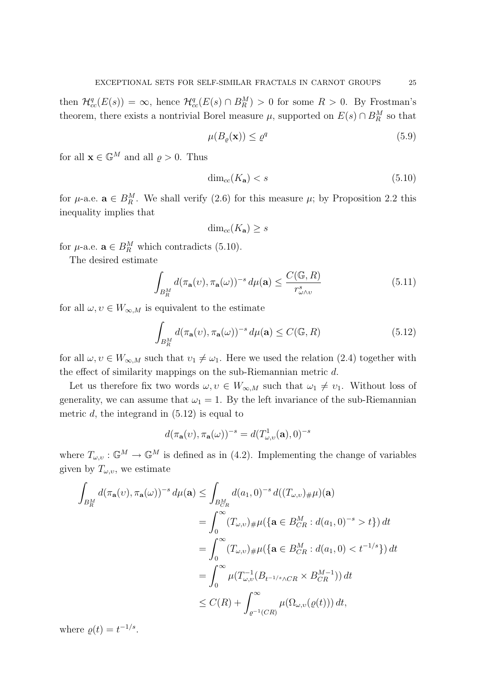then  $\mathcal{H}_{cc}^{q}(E(s)) = \infty$ , hence  $\mathcal{H}_{cc}^{q}(E(s) \cap B_R^M) > 0$  for some  $R > 0$ . By Frostman's theorem, there exists a nontrivial Borel measure  $\mu$ , supported on  $E(s) \cap B_R^M$  so that

$$
\mu(B_{\varrho}(\mathbf{x})) \le \varrho^q \tag{5.9}
$$

for all  $\mathbf{x} \in \mathbb{G}^M$  and all  $\varrho > 0$ . Thus

$$
\dim_{cc}(K_{\mathbf{a}}) < s \tag{5.10}
$$

for  $\mu$ -a.e.  $\mathbf{a} \in B_R^M$ . We shall verify (2.6) for this measure  $\mu$ ; by Proposition 2.2 this inequality implies that

$$
\dim_{cc}(K_{\mathbf{a}}) \geq s
$$

for  $\mu$ -a.e.  $\mathbf{a} \in B_R^M$  which contradicts (5.10).

The desired estimate

$$
\int_{B_R^M} d(\pi_\mathbf{a}(v), \pi_\mathbf{a}(\omega))^{-s} d\mu(\mathbf{a}) \le \frac{C(\mathbb{G}, R)}{r_{\omega \wedge v}^s} \tag{5.11}
$$

for all  $\omega, \upsilon \in W_{\infty,M}$  is equivalent to the estimate

$$
\int_{B_R^M} d(\pi_\mathbf{a}(v), \pi_\mathbf{a}(\omega))^{-s} d\mu(\mathbf{a}) \le C(\mathbb{G}, R)
$$
\n(5.12)

for all  $\omega, v \in W_{\infty,M}$  such that  $v_1 \neq \omega_1$ . Here we used the relation (2.4) together with the effect of similarity mappings on the sub-Riemannian metric d.

Let us therefore fix two words  $\omega, v \in W_{\infty,M}$  such that  $\omega_1 \neq \nu_1$ . Without loss of generality, we can assume that  $\omega_1 = 1$ . By the left invariance of the sub-Riemannian metric  $d$ , the integrand in  $(5.12)$  is equal to

$$
d(\pi_{\mathbf{a}}(\nu), \pi_{\mathbf{a}}(\omega))^{-s} = d(T^1_{\omega, \nu}(\mathbf{a}), 0)^{-s}
$$

where  $T_{\omega,v} : \mathbb{G}^M \to \mathbb{G}^M$  is defined as in (4.2). Implementing the change of variables given by  $T_{\omega,\nu}$ , we estimate

$$
\int_{B_R^M} d(\pi_{\mathbf{a}}(v), \pi_{\mathbf{a}}(\omega))^{-s} d\mu(\mathbf{a}) \le \int_{B_{CR}^M} d(a_1, 0)^{-s} d((T_{\omega,v})_{\#}\mu)(\mathbf{a})
$$
\n
$$
= \int_0^\infty (T_{\omega,v})_{\#}\mu(\{\mathbf{a} \in B_{CR}^M : d(a_1, 0)^{-s} > t\}) dt
$$
\n
$$
= \int_0^\infty (T_{\omega,v})_{\#}\mu(\{\mathbf{a} \in B_{CR}^M : d(a_1, 0) < t^{-1/s}\}) dt
$$
\n
$$
= \int_0^\infty \mu(T_{\omega,v}^{-1}(B_{t^{-1/s}\wedge CR} \times B_{CR}^{M-1})) dt
$$
\n
$$
\le C(R) + \int_{\varrho^{-1}(CR)}^\infty \mu(\Omega_{\omega,v}(\varrho(t))) dt,
$$

where  $\rho(t) = t^{-1/s}$ .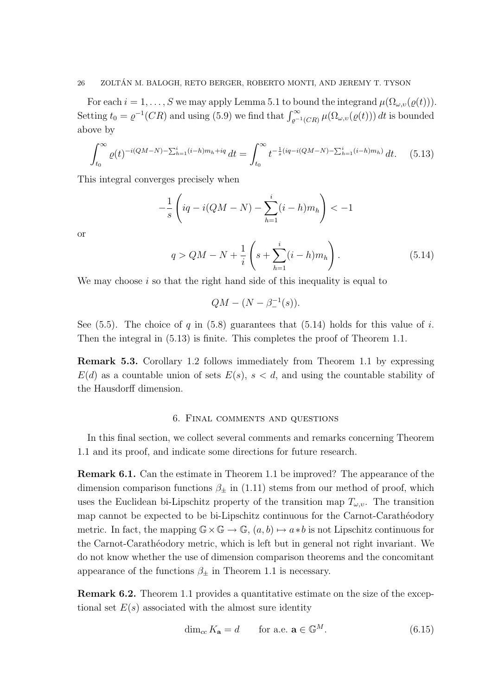For each  $i = 1, \ldots, S$  we may apply Lemma 5.1 to bound the integrand  $\mu(\Omega_{\omega,v}(\varrho(t)))$ . Setting  $t_0 = \rho^{-1}(CR)$  and using (5.9) we find that  $\int_{\rho^{-1}(CR)}^{\infty} \mu(\Omega_{\omega,\nu}(\varrho(t))) dt$  is bounded above by

$$
\int_{t_0}^{\infty} \varrho(t)^{-i(QM-N) - \sum_{h=1}^{i} (i-h)m_h + iq} dt = \int_{t_0}^{\infty} t^{-\frac{1}{s}(iq - i(QM-N) - \sum_{h=1}^{i} (i-h)m_h)} dt.
$$
 (5.13)

This integral converges precisely when

$$
-\frac{1}{s}\left( iq - i(QM - N) - \sum_{h=1}^{i} (i - h)m_h \right) < -1
$$

or

$$
q > QM - N + \frac{1}{i} \left( s + \sum_{h=1}^{i} (i - h) m_h \right).
$$
 (5.14)

We may choose  $i$  so that the right hand side of this inequality is equal to

$$
QM - (N - \beta^{-1}(s)).
$$

See (5.5). The choice of q in (5.8) guarantees that (5.14) holds for this value of i. Then the integral in (5.13) is finite. This completes the proof of Theorem 1.1.

Remark 5.3. Corollary 1.2 follows immediately from Theorem 1.1 by expressing  $E(d)$  as a countable union of sets  $E(s)$ ,  $s < d$ , and using the countable stability of the Hausdorff dimension.

# 6. Final comments and questions

In this final section, we collect several comments and remarks concerning Theorem 1.1 and its proof, and indicate some directions for future research.

Remark 6.1. Can the estimate in Theorem 1.1 be improved? The appearance of the dimension comparison functions  $\beta_{\pm}$  in (1.11) stems from our method of proof, which uses the Euclidean bi-Lipschitz property of the transition map  $T_{\omega,\nu}$ . The transition map cannot be expected to be bi-Lipschitz continuous for the Carnot-Carathéodory metric. In fact, the mapping  $\mathbb{G} \times \mathbb{G} \to \mathbb{G}$ ,  $(a, b) \mapsto a * b$  is not Lipschitz continuous for the Carnot-Carathéodory metric, which is left but in general not right invariant. We do not know whether the use of dimension comparison theorems and the concomitant appearance of the functions  $\beta_{\pm}$  in Theorem 1.1 is necessary.

Remark 6.2. Theorem 1.1 provides a quantitative estimate on the size of the exceptional set  $E(s)$  associated with the almost sure identity

$$
\dim_{cc} K_{\mathbf{a}} = d \qquad \text{for a.e. } \mathbf{a} \in \mathbb{G}^M. \tag{6.15}
$$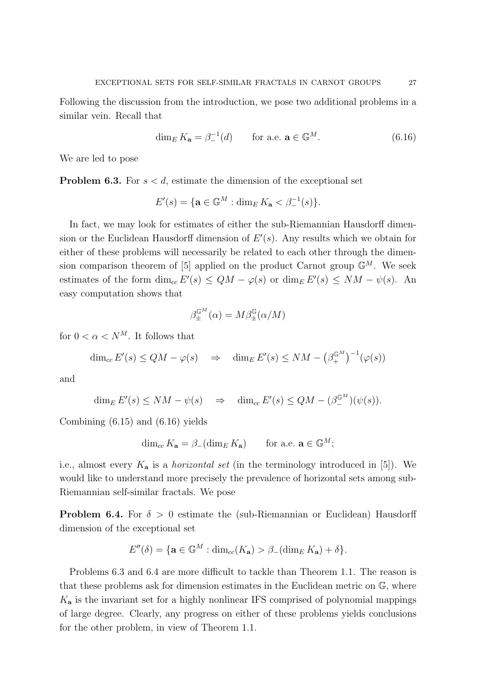Following the discussion from the introduction, we pose two additional problems in a similar vein. Recall that

$$
\dim_E K_{\mathbf{a}} = \beta_-^{-1}(d) \qquad \text{for a.e. } \mathbf{a} \in \mathbb{G}^M. \tag{6.16}
$$

We are led to pose

**Problem 6.3.** For  $s < d$ , estimate the dimension of the exceptional set

$$
E'(s) = \{ \mathbf{a} \in \mathbb{G}^M : \dim_E K_\mathbf{a} < \beta^{-1}(\mathbf{a}) \}.
$$

In fact, we may look for estimates of either the sub-Riemannian Hausdorff dimension or the Euclidean Hausdorff dimension of  $E'(s)$ . Any results which we obtain for either of these problems will necessarily be related to each other through the dimension comparison theorem of [5] applied on the product Carnot group  $\mathbb{G}^M$ . We seek estimates of the form  $\dim_{cc} E'(s) \leq QM - \varphi(s)$  or  $\dim_E E'(s) \leq NM - \psi(s)$ . An easy computation shows that

$$
\beta^{\mathbb{G}^M}_{\pm}(\alpha) = M \beta^{\mathbb{G}}_{\pm}(\alpha/M)
$$

for  $0 < \alpha < N^M$ . It follows that

$$
\dim_{cc} E'(s) \le QM - \varphi(s) \quad \Rightarrow \quad \dim_E E'(s) \le NM - \left(\beta_+^{\mathbb{G}^M}\right)^{-1} (\varphi(s))
$$

and

$$
\dim_E E'(s) \le NM - \psi(s) \quad \Rightarrow \quad \dim_{cc} E'(s) \le QM - (\beta_-^{\mathbb{G}^M})(\psi(s)).
$$

Combining (6.15) and (6.16) yields

$$
\dim_{cc} K_{\mathbf{a}} = \beta_{-}(\dim_{E} K_{\mathbf{a}}) \qquad \text{for a.e. } \mathbf{a} \in \mathbb{G}^{M};
$$

i.e., almost every  $K_a$  is a *horizontal set* (in the terminology introduced in [5]). We would like to understand more precisely the prevalence of horizontal sets among sub-Riemannian self-similar fractals. We pose

**Problem 6.4.** For  $\delta > 0$  estimate the (sub-Riemannian or Euclidean) Hausdorff dimension of the exceptional set

$$
E''(\delta) = \{ \mathbf{a} \in \mathbb{G}^M : \dim_{cc}(K_{\mathbf{a}}) > \beta_{-}(\dim_E K_{\mathbf{a}}) + \delta \}.
$$

Problems 6.3 and 6.4 are more difficult to tackle than Theorem 1.1. The reason is that these problems ask for dimension estimates in the Euclidean metric on G, where  $K_{a}$  is the invariant set for a highly nonlinear IFS comprised of polynomial mappings of large degree. Clearly, any progress on either of these problems yields conclusions for the other problem, in view of Theorem 1.1.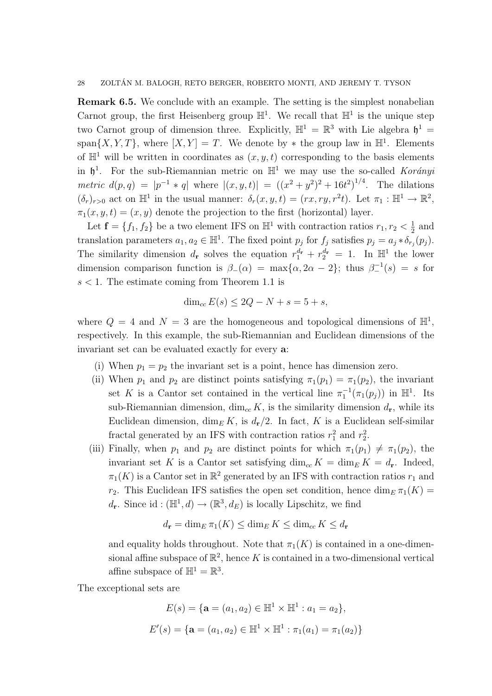Remark 6.5. We conclude with an example. The setting is the simplest nonabelian Carnot group, the first Heisenberg group  $\mathbb{H}^1$ . We recall that  $\mathbb{H}^1$  is the unique step two Carnot group of dimension three. Explicitly,  $\mathbb{H}^1 = \mathbb{R}^3$  with Lie algebra  $\mathfrak{h}^1 =$ span $\{X, Y, T\}$ , where  $[X, Y] = T$ . We denote by  $*$  the group law in  $\mathbb{H}^1$ . Elements of  $\mathbb{H}^1$  will be written in coordinates as  $(x, y, t)$  corresponding to the basis elements in  $\mathfrak{h}^1$ . For the sub-Riemannian metric on  $\mathbb{H}^1$  we may use the so-called Korányi metric  $d(p,q) = |p^{-1} * q|$  where  $|(x,y,t)| = ((x^2 + y^2)^2 + 16t^2)^{1/4}$ . The dilations  $(\delta_r)_{r>0}$  act on  $\mathbb{H}^1$  in the usual manner:  $\delta_r(x,y,t) = (rx, ry, r^2t)$ . Let  $\pi_1 : \mathbb{H}^1 \to \mathbb{R}^2$ ,  $\pi_1(x, y, t) = (x, y)$  denote the projection to the first (horizontal) layer.

Let  $\mathbf{f} = \{f_1, f_2\}$  be a two element IFS on  $\mathbb{H}^1$  with contraction ratios  $r_1, r_2 < \frac{1}{2}$  $rac{1}{2}$  and translation parameters  $a_1, a_2 \in \mathbb{H}^1$ . The fixed point  $p_j$  for  $f_j$  satisfies  $p_j = a_j * \delta_{r_j}(p_j)$ . The similarity dimension  $d_r$  solves the equation  $r_1^{d_r} + r_2^{d_r} = 1$ . In  $\mathbb{H}^1$  the lower dimension comparison function is  $\beta_-(\alpha) = \max{\alpha, 2\alpha - 2}$ ; thus  $\beta_-(s) = s$  for  $s < 1$ . The estimate coming from Theorem 1.1 is

$$
\dim_{cc} E(s) \le 2Q - N + s = 5 + s,
$$

where  $Q = 4$  and  $N = 3$  are the homogeneous and topological dimensions of  $\mathbb{H}^1$ , respectively. In this example, the sub-Riemannian and Euclidean dimensions of the invariant set can be evaluated exactly for every a:

- (i) When  $p_1 = p_2$  the invariant set is a point, hence has dimension zero.
- (ii) When  $p_1$  and  $p_2$  are distinct points satisfying  $\pi_1(p_1) = \pi_1(p_2)$ , the invariant set K is a Cantor set contained in the vertical line  $\pi_1^{-1}(\pi_1(p_j))$  in  $\mathbb{H}^1$ . Its sub-Riemannian dimension,  $\dim_{cc} K$ , is the similarity dimension  $d_{\mathbf{r}}$ , while its Euclidean dimension,  $\dim_E K$ , is  $d_r/2$ . In fact, K is a Euclidean self-similar fractal generated by an IFS with contraction ratios  $r_1^2$  and  $r_2^2$ .
- (iii) Finally, when  $p_1$  and  $p_2$  are distinct points for which  $\pi_1(p_1) \neq \pi_1(p_2)$ , the invariant set K is a Cantor set satisfying  $\dim_{cc} K = \dim_E K = d_r$ . Indeed,  $\pi_1(K)$  is a Cantor set in  $\mathbb{R}^2$  generated by an IFS with contraction ratios  $r_1$  and  $r_2$ . This Euclidean IFS satisfies the open set condition, hence  $\dim_E \pi_1(K) =$  $d_{\mathbf{r}}$ . Since id:  $(\mathbb{H}^1, d) \to (\mathbb{R}^3, d_E)$  is locally Lipschitz, we find

$$
d_{\mathbf{r}} = \dim_E \pi_1(K) \le \dim_E K \le \dim_{cc} K \le d_{\mathbf{r}}
$$

and equality holds throughout. Note that  $\pi_1(K)$  is contained in a one-dimensional affine subspace of  $\mathbb{R}^2$ , hence K is contained in a two-dimensional vertical affine subspace of  $\mathbb{H}^1 = \mathbb{R}^3$ .

The exceptional sets are

$$
E(s) = \{ \mathbf{a} = (a_1, a_2) \in \mathbb{H}^1 \times \mathbb{H}^1 : a_1 = a_2 \},
$$
  

$$
E'(s) = \{ \mathbf{a} = (a_1, a_2) \in \mathbb{H}^1 \times \mathbb{H}^1 : \pi_1(a_1) = \pi_1(a_2) \}
$$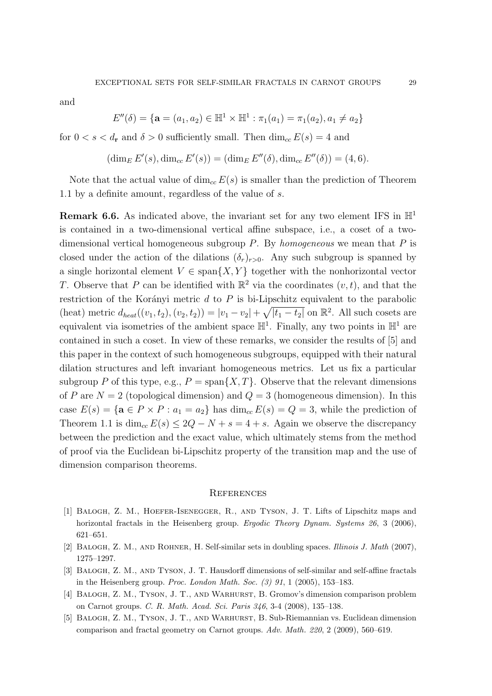and

$$
E''(\delta) = \{ \mathbf{a} = (a_1, a_2) \in \mathbb{H}^1 \times \mathbb{H}^1 : \pi_1(a_1) = \pi_1(a_2), a_1 \neq a_2 \}
$$

for  $0 < s < d_r$  and  $\delta > 0$  sufficiently small. Then  $\dim_{cc} E(s) = 4$  and

$$
(\dim_E E'(s), \dim_{cc} E'(s)) = (\dim_E E''(\delta), \dim_{cc} E''(\delta)) = (4, 6).
$$

Note that the actual value of  $\dim_{cc} E(s)$  is smaller than the prediction of Theorem 1.1 by a definite amount, regardless of the value of s.

**Remark 6.6.** As indicated above, the invariant set for any two element IFS in  $\mathbb{H}^1$ is contained in a two-dimensional vertical affine subspace, i.e., a coset of a twodimensional vertical homogeneous subgroup  $P$ . By homogeneous we mean that  $P$  is closed under the action of the dilations  $(\delta_r)_{r>0}$ . Any such subgroup is spanned by a single horizontal element  $V \in \text{span}\{X, Y\}$  together with the nonhorizontal vector T. Observe that P can be identified with  $\mathbb{R}^2$  via the coordinates  $(v, t)$ , and that the restriction of the Korányi metric  $d$  to  $P$  is bi-Lipschitz equivalent to the parabolic (heat) metric  $d_{heat}((v_1, t_2), (v_2, t_2)) = |v_1 - v_2| + \sqrt{|t_1 - t_2|}$  on  $\mathbb{R}^2$ . All such cosets are equivalent via isometries of the ambient space  $\mathbb{H}^1$ . Finally, any two points in  $\mathbb{H}^1$  are contained in such a coset. In view of these remarks, we consider the results of [5] and this paper in the context of such homogeneous subgroups, equipped with their natural dilation structures and left invariant homogeneous metrics. Let us fix a particular subgroup P of this type, e.g.,  $P = \text{span}\{X, T\}$ . Observe that the relevant dimensions of P are  $N = 2$  (topological dimension) and  $Q = 3$  (homogeneous dimension). In this case  $E(s) = {\mathbf{a} \in P \times P : a_1 = a_2}$  has  $\dim_{cc} E(s) = Q = 3$ , while the prediction of Theorem 1.1 is  $\dim_{cc} E(s) \leq 2Q - N + s = 4 + s$ . Again we observe the discrepancy between the prediction and the exact value, which ultimately stems from the method of proof via the Euclidean bi-Lipschitz property of the transition map and the use of dimension comparison theorems.

#### **REFERENCES**

- [1] Balogh, Z. M., Hoefer-Isenegger, R., and Tyson, J. T. Lifts of Lipschitz maps and horizontal fractals in the Heisenberg group. *Ergodic Theory Dynam. Systems 26*, 3 (2006), 621–651.
- [2] Balogh, Z. M., and Rohner, H. Self-similar sets in doubling spaces. Illinois J. Math (2007), 1275–1297.
- [3] Balogh, Z. M., and Tyson, J. T. Hausdorff dimensions of self-similar and self-affine fractals in the Heisenberg group. Proc. London Math. Soc. (3) 91, 1 (2005), 153–183.
- [4] Balogh, Z. M., Tyson, J. T., and Warhurst, B. Gromov's dimension comparison problem on Carnot groups. C. R. Math. Acad. Sci. Paris 346, 3-4 (2008), 135–138.
- [5] Balogh, Z. M., Tyson, J. T., and Warhurst, B. Sub-Riemannian vs. Euclidean dimension comparison and fractal geometry on Carnot groups. Adv. Math. 220, 2 (2009), 560–619.